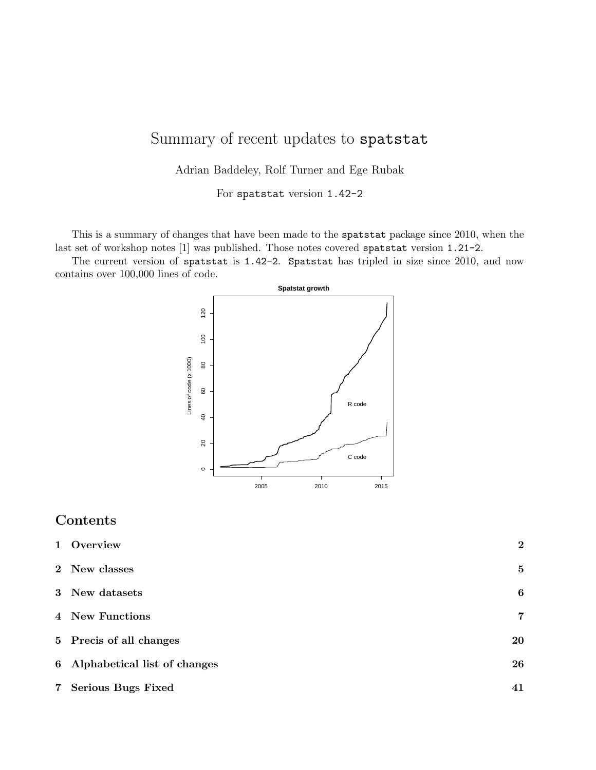# Summary of recent updates to spatstat

Adrian Baddeley, Rolf Turner and Ege Rubak

For spatstat version 1.42-2

This is a summary of changes that have been made to the spatstat package since 2010, when the last set of workshop notes [1] was published. Those notes covered spatstat version 1.21-2.

The current version of spatstat is 1.42-2. Spatstat has tripled in size since 2010, and now contains over 100,000 lines of code.



# Contents

| 1 Overview                     | $\overline{2}$ |
|--------------------------------|----------------|
| 2 New classes                  | 5              |
| 3 New datasets                 | 6              |
| 4 New Functions                | 7              |
| 5 Precis of all changes        | 20             |
| 6 Alphabetical list of changes | 26             |
| 7 Serious Bugs Fixed           | 41             |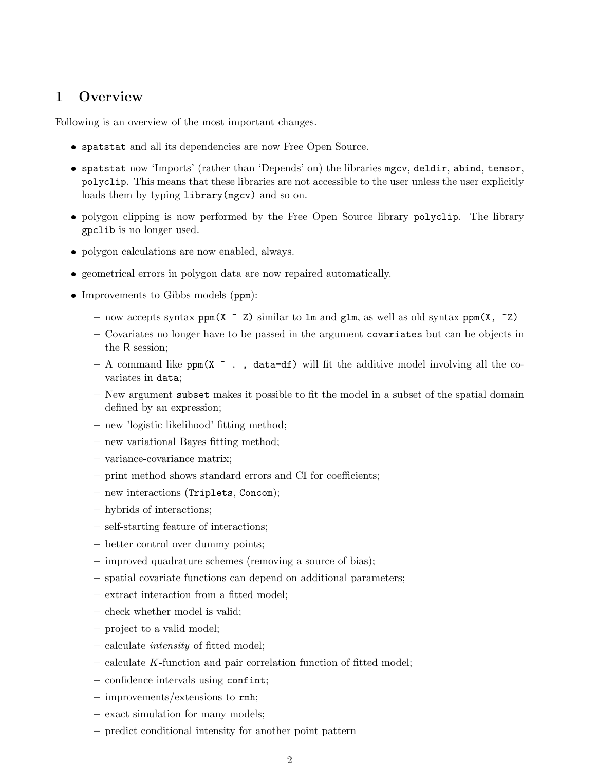# 1 Overview

Following is an overview of the most important changes.

- ❼ spatstat and all its dependencies are now Free Open Source.
- ❼ spatstat now 'Imports' (rather than 'Depends' on) the libraries mgcv, deldir, abind, tensor, polyclip. This means that these libraries are not accessible to the user unless the user explicitly loads them by typing library(mgcv) and so on.
- ❼ polygon clipping is now performed by the Free Open Source library polyclip. The library gpclib is no longer used.
- ❼ polygon calculations are now enabled, always.
- ❼ geometrical errors in polygon data are now repaired automatically.
- ❼ Improvements to Gibbs models (ppm):
	- now accepts syntax ppm(X  $\sim$  Z) similar to 1m and g1m, as well as old syntax ppm(X,  $\sim$  Z)
	- Covariates no longer have to be passed in the argument covariates but can be objects in the R session;
	- A command like ppm( $X \sim$ , data=df) will fit the additive model involving all the covariates in data;
	- New argument subset makes it possible to fit the model in a subset of the spatial domain defined by an expression;
	- new 'logistic likelihood' fitting method;
	- new variational Bayes fitting method;
	- variance-covariance matrix;
	- print method shows standard errors and CI for coefficients;
	- new interactions (Triplets, Concom);
	- hybrids of interactions;
	- self-starting feature of interactions;
	- better control over dummy points;
	- improved quadrature schemes (removing a source of bias);
	- spatial covariate functions can depend on additional parameters;
	- extract interaction from a fitted model;
	- check whether model is valid;
	- project to a valid model;
	- calculate intensity of fitted model;
	- calculate K-function and pair correlation function of fitted model;
	- confidence intervals using confint;
	- improvements/extensions to rmh;
	- exact simulation for many models;
	- predict conditional intensity for another point pattern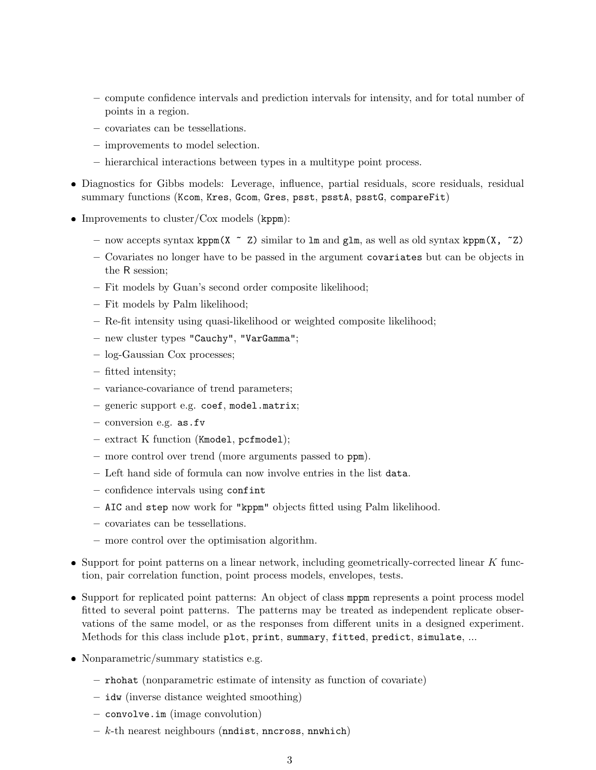- compute confidence intervals and prediction intervals for intensity, and for total number of points in a region.
- covariates can be tessellations.
- improvements to model selection.
- hierarchical interactions between types in a multitype point process.
- ❼ Diagnostics for Gibbs models: Leverage, influence, partial residuals, score residuals, residual summary functions (Kcom, Kres, Gcom, Gres, psst, psstA, psstG, compareFit)
- ❼ Improvements to cluster/Cox models (kppm):
	- now accepts syntax kppm(X  $\sim$  Z) similar to lm and glm, as well as old syntax kppm(X,  $\sim$  Z)
	- Covariates no longer have to be passed in the argument covariates but can be objects in the R session;
	- Fit models by Guan's second order composite likelihood;
	- Fit models by Palm likelihood;
	- Re-fit intensity using quasi-likelihood or weighted composite likelihood;
	- new cluster types "Cauchy", "VarGamma";
	- log-Gaussian Cox processes;
	- fitted intensity;
	- variance-covariance of trend parameters;
	- generic support e.g. coef, model.matrix;
	- conversion e.g. as.fv
	- extract K function (Kmodel, pcfmodel);
	- more control over trend (more arguments passed to ppm).
	- Left hand side of formula can now involve entries in the list data.
	- confidence intervals using confint
	- AIC and step now work for "kppm" objects fitted using Palm likelihood.
	- covariates can be tessellations.
	- more control over the optimisation algorithm.
- $\bullet$  Support for point patterns on a linear network, including geometrically-corrected linear  $K$  function, pair correlation function, point process models, envelopes, tests.
- Support for replicated point patterns: An object of class mppm represents a point process model fitted to several point patterns. The patterns may be treated as independent replicate observations of the same model, or as the responses from different units in a designed experiment. Methods for this class include plot, print, summary, fitted, predict, simulate, ...
- ❼ Nonparametric/summary statistics e.g.
	- rhohat (nonparametric estimate of intensity as function of covariate)
	- idw (inverse distance weighted smoothing)
	- convolve.im (image convolution)
	- $k$ -th nearest neighbours (nndist, nncross, nnwhich)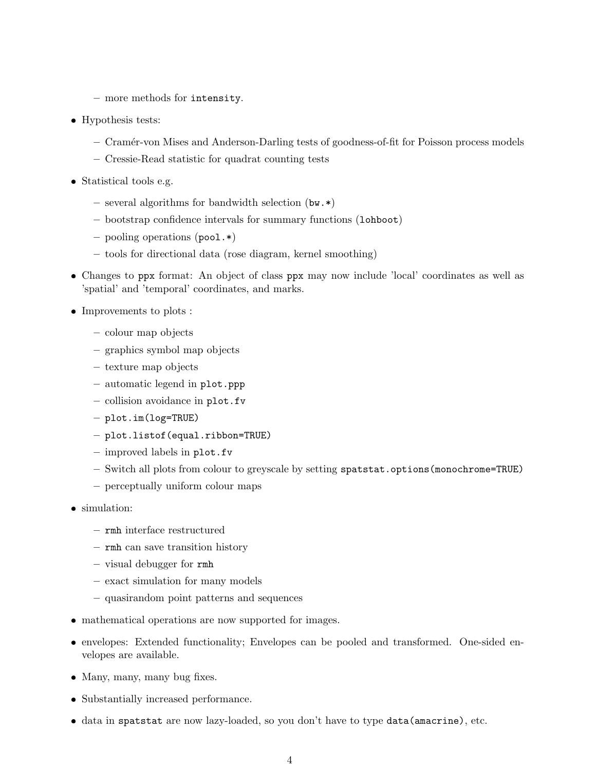- more methods for intensity.
- ❼ Hypothesis tests:
	- Cram´er-von Mises and Anderson-Darling tests of goodness-of-fit for Poisson process models
	- Cressie-Read statistic for quadrat counting tests
- ❼ Statistical tools e.g.
	- several algorithms for bandwidth selection (bw.\*)
	- bootstrap confidence intervals for summary functions (lohboot)
	- pooling operations (pool.\*)
	- tools for directional data (rose diagram, kernel smoothing)
- ❼ Changes to ppx format: An object of class ppx may now include 'local' coordinates as well as 'spatial' and 'temporal' coordinates, and marks.
- $\bullet$  Improvements to plots :
	- colour map objects
	- graphics symbol map objects
	- texture map objects
	- automatic legend in plot.ppp
	- collision avoidance in plot.fv
	- plot.im(log=TRUE)
	- plot.listof(equal.ribbon=TRUE)
	- improved labels in plot.fv
	- Switch all plots from colour to greyscale by setting spatstat.options(monochrome=TRUE)
	- perceptually uniform colour maps
- ❼ simulation:
	- rmh interface restructured
	- rmh can save transition history
	- visual debugger for rmh
	- exact simulation for many models
	- quasirandom point patterns and sequences
- ❼ mathematical operations are now supported for images.
- ❼ envelopes: Extended functionality; Envelopes can be pooled and transformed. One-sided envelopes are available.
- ❼ Many, many, many bug fixes.
- ❼ Substantially increased performance.
- ❼ data in spatstat are now lazy-loaded, so you don't have to type data(amacrine), etc.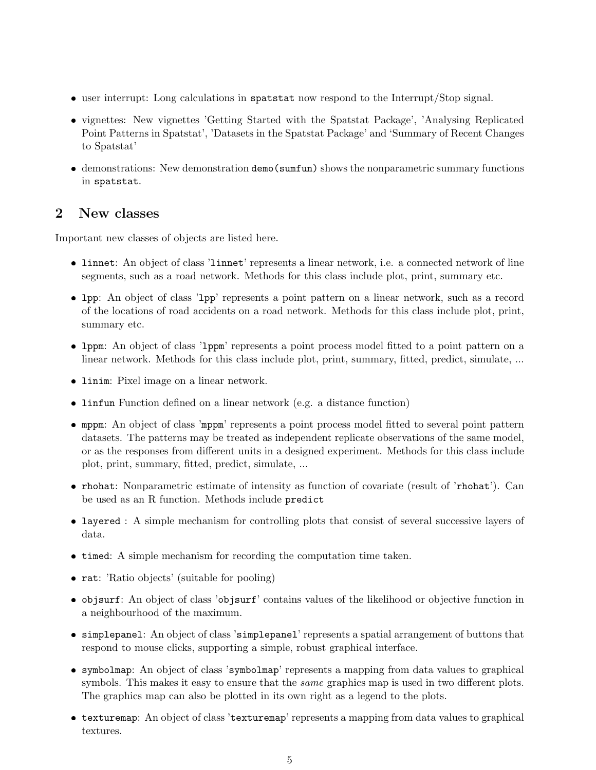- user interrupt: Long calculations in spatstat now respond to the Interrupt/Stop signal.
- ❼ vignettes: New vignettes 'Getting Started with the Spatstat Package', 'Analysing Replicated Point Patterns in Spatstat', 'Datasets in the Spatstat Package' and 'Summary of Recent Changes to Spatstat'
- ❼ demonstrations: New demonstration demo(sumfun) shows the nonparametric summary functions in spatstat.

## 2 New classes

Important new classes of objects are listed here.

- ❼ linnet: An object of class 'linnet' represents a linear network, i.e. a connected network of line segments, such as a road network. Methods for this class include plot, print, summary etc.
- ❼ lpp: An object of class 'lpp' represents a point pattern on a linear network, such as a record of the locations of road accidents on a road network. Methods for this class include plot, print, summary etc.
- ❼ lppm: An object of class 'lppm' represents a point process model fitted to a point pattern on a linear network. Methods for this class include plot, print, summary, fitted, predict, simulate, ...
- ❼ linim: Pixel image on a linear network.
- ❼ linfun Function defined on a linear network (e.g. a distance function)
- ❼ mppm: An object of class 'mppm' represents a point process model fitted to several point pattern datasets. The patterns may be treated as independent replicate observations of the same model, or as the responses from different units in a designed experiment. Methods for this class include plot, print, summary, fitted, predict, simulate, ...
- ❼ rhohat: Nonparametric estimate of intensity as function of covariate (result of 'rhohat'). Can be used as an R function. Methods include predict
- ❼ layered : A simple mechanism for controlling plots that consist of several successive layers of data.
- ❼ timed: A simple mechanism for recording the computation time taken.
- rat: 'Ratio objects' (suitable for pooling)
- ❼ objsurf: An object of class 'objsurf' contains values of the likelihood or objective function in a neighbourhood of the maximum.
- ❼ simplepanel: An object of class 'simplepanel' represents a spatial arrangement of buttons that respond to mouse clicks, supporting a simple, robust graphical interface.
- ❼ symbolmap: An object of class 'symbolmap' represents a mapping from data values to graphical symbols. This makes it easy to ensure that the *same* graphics map is used in two different plots. The graphics map can also be plotted in its own right as a legend to the plots.
- ❼ texturemap: An object of class 'texturemap' represents a mapping from data values to graphical textures.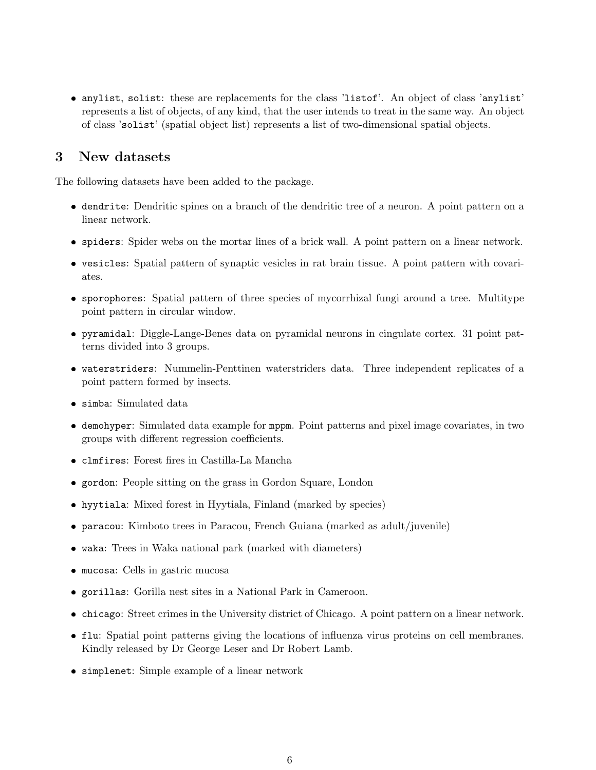• anylist, solist: these are replacements for the class 'listof'. An object of class 'anylist' represents a list of objects, of any kind, that the user intends to treat in the same way. An object of class 'solist' (spatial object list) represents a list of two-dimensional spatial objects.

## 3 New datasets

The following datasets have been added to the package.

- dendrite: Dendritic spines on a branch of the dendritic tree of a neuron. A point pattern on a linear network.
- spiders: Spider webs on the mortar lines of a brick wall. A point pattern on a linear network.
- vesicles: Spatial pattern of synaptic vesicles in rat brain tissue. A point pattern with covariates.
- sporophores: Spatial pattern of three species of mycorrhizal fungi around a tree. Multitype point pattern in circular window.
- pyramidal: Diggle-Lange-Benes data on pyramidal neurons in cingulate cortex. 31 point patterns divided into 3 groups.
- waterstriders: Nummelin-Penttinen waterstriders data. Three independent replicates of a point pattern formed by insects.
- simba: Simulated data
- demohyper: Simulated data example for mppm. Point patterns and pixel image covariates, in two groups with different regression coefficients.
- clmfires: Forest fires in Castilla-La Mancha
- gordon: People sitting on the grass in Gordon Square, London
- hyytiala: Mixed forest in Hyytiala, Finland (marked by species)
- paracou: Kimboto trees in Paracou, French Guiana (marked as adult/juvenile)
- waka: Trees in Waka national park (marked with diameters)
- mucosa: Cells in gastric mucosa
- gorillas: Gorilla nest sites in a National Park in Cameroon.
- chicago: Street crimes in the University district of Chicago. A point pattern on a linear network.
- flu: Spatial point patterns giving the locations of influenza virus proteins on cell membranes. Kindly released by Dr George Leser and Dr Robert Lamb.
- simplenet: Simple example of a linear network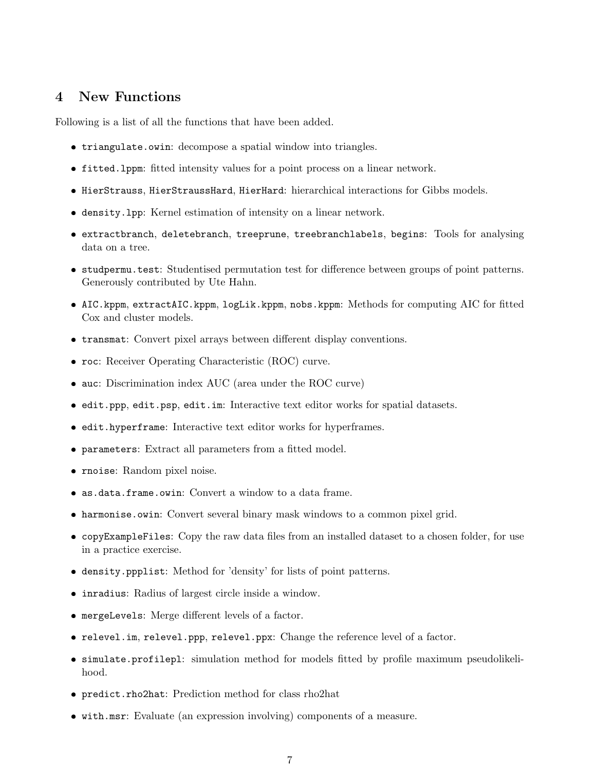#### 4 New Functions

Following is a list of all the functions that have been added.

- triangulate.owin: decompose a spatial window into triangles.
- fitted.lppm: fitted intensity values for a point process on a linear network.
- HierStrauss, HierStraussHard, HierHard: hierarchical interactions for Gibbs models.
- density.lpp: Kernel estimation of intensity on a linear network.
- extractbranch, deletebranch, treeprune, treebranchlabels, begins: Tools for analysing data on a tree.
- studpermu.test: Studentised permutation test for difference between groups of point patterns. Generously contributed by Ute Hahn.
- AIC.kppm, extractAIC.kppm, logLik.kppm, nobs.kppm: Methods for computing AIC for fitted Cox and cluster models.
- transmat: Convert pixel arrays between different display conventions.
- roc: Receiver Operating Characteristic (ROC) curve.
- auc: Discrimination index AUC (area under the ROC curve)
- edit.ppp, edit.psp, edit.im: Interactive text editor works for spatial datasets.
- edit.hyperframe: Interactive text editor works for hyperframes.
- parameters: Extract all parameters from a fitted model.
- rnoise: Random pixel noise.
- as.data.frame.owin: Convert a window to a data frame.
- harmonise.owin: Convert several binary mask windows to a common pixel grid.
- copyExampleFiles: Copy the raw data files from an installed dataset to a chosen folder, for use in a practice exercise.
- density.ppplist: Method for 'density' for lists of point patterns.
- inradius: Radius of largest circle inside a window.
- mergeLevels: Merge different levels of a factor.
- relevel.im, relevel.ppp, relevel.ppx: Change the reference level of a factor.
- simulate.profilepl: simulation method for models fitted by profile maximum pseudolikelihood.
- predict.rho2hat: Prediction method for class rho2hat
- with.msr: Evaluate (an expression involving) components of a measure.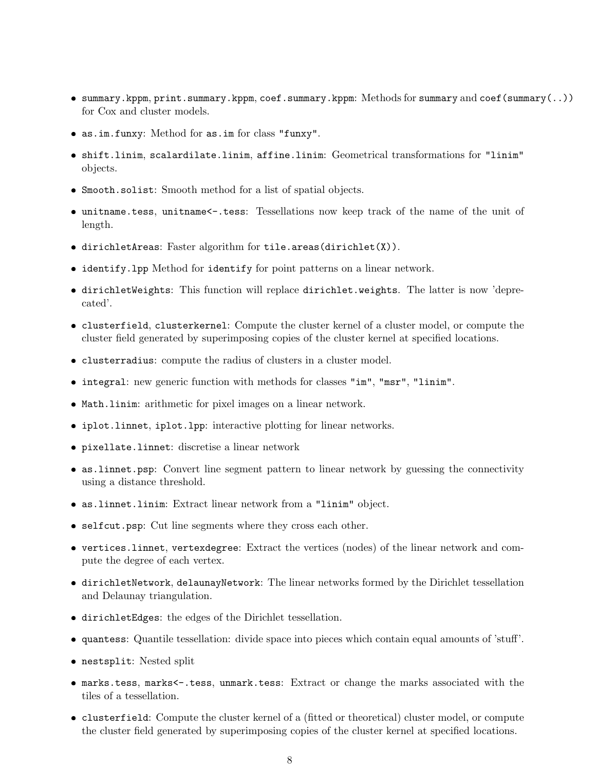- summary.kppm, print.summary.kppm, coef.summary.kppm: Methods for summary and coef(summary(..)) for Cox and cluster models.
- as.im.funxy: Method for as.im for class "funxy".
- shift.linim, scalardilate.linim, affine.linim: Geometrical transformations for "linim" objects.
- Smooth.solist: Smooth method for a list of spatial objects.
- unitname.tess, unitname<-.tess: Tessellations now keep track of the name of the unit of length.
- dirichletAreas: Faster algorithm for tile.areas(dirichlet(X)).
- identify.lpp Method for identify for point patterns on a linear network.
- dirichletWeights: This function will replace dirichlet.weights. The latter is now 'deprecated'.
- clusterfield, clusterkernel: Compute the cluster kernel of a cluster model, or compute the cluster field generated by superimposing copies of the cluster kernel at specified locations.
- clusterradius: compute the radius of clusters in a cluster model.
- integral: new generic function with methods for classes "im", "msr", "linim".
- Math.linim: arithmetic for pixel images on a linear network.
- iplot.linnet, iplot.lpp: interactive plotting for linear networks.
- pixellate.linnet: discretise a linear network
- as.linnet.psp: Convert line segment pattern to linear network by guessing the connectivity using a distance threshold.
- as.linnet.linim: Extract linear network from a "linim" object.
- selfcut.psp: Cut line segments where they cross each other.
- vertices.linnet, vertexdegree: Extract the vertices (nodes) of the linear network and compute the degree of each vertex.
- dirichletNetwork, delaunayNetwork: The linear networks formed by the Dirichlet tessellation and Delaunay triangulation.
- dirichletEdges: the edges of the Dirichlet tessellation.
- quantess: Quantile tessellation: divide space into pieces which contain equal amounts of 'stuff'.
- nestsplit: Nested split
- marks.tess, marks<-.tess, unmark.tess: Extract or change the marks associated with the tiles of a tessellation.
- clusterfield: Compute the cluster kernel of a (fitted or theoretical) cluster model, or compute the cluster field generated by superimposing copies of the cluster kernel at specified locations.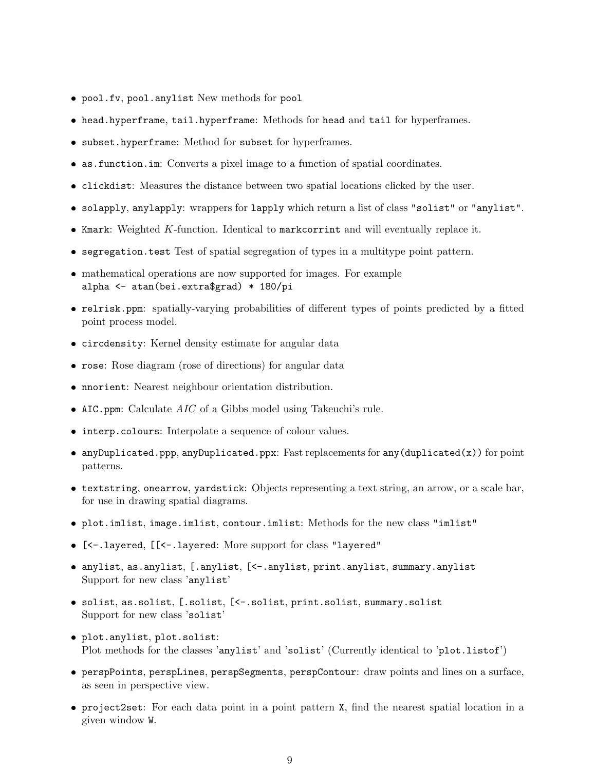- pool.fv, pool.anylist New methods for pool
- ❼ head.hyperframe, tail.hyperframe: Methods for head and tail for hyperframes.
- ❼ subset.hyperframe: Method for subset for hyperframes.
- ❼ as.function.im: Converts a pixel image to a function of spatial coordinates.
- ❼ clickdist: Measures the distance between two spatial locations clicked by the user.
- ❼ solapply, anylapply: wrappers for lapply which return a list of class "solist" or "anylist".
- Kmark: Weighted K-function. Identical to markcorrint and will eventually replace it.
- ❼ segregation.test Test of spatial segregation of types in a multitype point pattern.
- ❼ mathematical operations are now supported for images. For example alpha <- atan(bei.extra\$grad) \* 180/pi
- ❼ relrisk.ppm: spatially-varying probabilities of different types of points predicted by a fitted point process model.
- ❼ circdensity: Kernel density estimate for angular data
- ❼ rose: Rose diagram (rose of directions) for angular data
- ❼ nnorient: Nearest neighbour orientation distribution.
- AIC.ppm: Calculate *AIC* of a Gibbs model using Takeuchi's rule.
- interp.colours: Interpolate a sequence of colour values.
- ❼ anyDuplicated.ppp, anyDuplicated.ppx: Fast replacements for any(duplicated(x)) for point patterns.
- ❼ textstring, onearrow, yardstick: Objects representing a text string, an arrow, or a scale bar, for use in drawing spatial diagrams.
- ❼ plot.imlist, image.imlist, contour.imlist: Methods for the new class "imlist"
- ❼ [<-.layered, [[<-.layered: More support for class "layered"
- ❼ anylist, as.anylist, [.anylist, [<-.anylist, print.anylist, summary.anylist Support for new class 'anylist'
- ❼ solist, as.solist, [.solist, [<-.solist, print.solist, summary.solist Support for new class 'solist'
- plot.anylist, plot.solist: Plot methods for the classes 'anylist' and 'solist' (Currently identical to 'plot.listof')
- ❼ perspPoints, perspLines, perspSegments, perspContour: draw points and lines on a surface, as seen in perspective view.
- ❼ project2set: For each data point in a point pattern X, find the nearest spatial location in a given window W.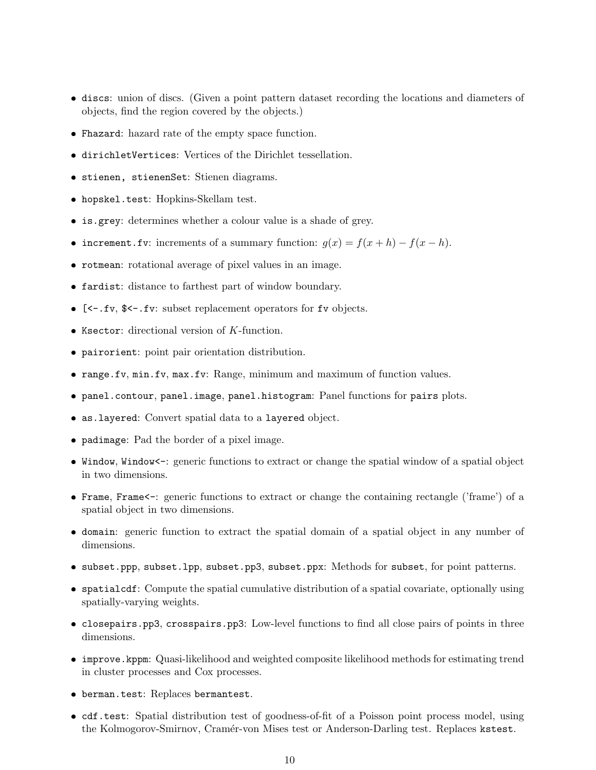- discs: union of discs. (Given a point pattern dataset recording the locations and diameters of objects, find the region covered by the objects.)
- Fhazard: hazard rate of the empty space function.
- dirichletVertices: Vertices of the Dirichlet tessellation.
- stienen, stienenSet: Stienen diagrams.
- hopskel.test: Hopkins-Skellam test.
- is.grey: determines whether a colour value is a shade of grey.
- increment.fv: increments of a summary function:  $g(x) = f(x+h) f(x-h)$ .
- rotmean: rotational average of pixel values in an image.
- fardist: distance to farthest part of window boundary.
- [<-.fv, \$<-.fv: subset replacement operators for fv objects.
- $\bullet$  Ksector: directional version of  $K$ -function.
- pairorient: point pair orientation distribution.
- range.fv, min.fv, max.fv: Range, minimum and maximum of function values.
- panel.contour, panel.image, panel.histogram: Panel functions for pairs plots.
- as.layered: Convert spatial data to a layered object.
- padimage: Pad the border of a pixel image.
- Window, Window<-: generic functions to extract or change the spatial window of a spatial object in two dimensions.
- Frame, Frame<-: generic functions to extract or change the containing rectangle ('frame') of a spatial object in two dimensions.
- domain: generic function to extract the spatial domain of a spatial object in any number of dimensions.
- subset.ppp, subset.lpp, subset.pp3, subset.ppx: Methods for subset, for point patterns.
- spatialcdf: Compute the spatial cumulative distribution of a spatial covariate, optionally using spatially-varying weights.
- closepairs.pp3, crosspairs.pp3: Low-level functions to find all close pairs of points in three dimensions.
- improve.kppm: Quasi-likelihood and weighted composite likelihood methods for estimating trend in cluster processes and Cox processes.
- berman.test: Replaces bermantest.
- cdf.test: Spatial distribution test of goodness-of-fit of a Poisson point process model, using the Kolmogorov-Smirnov, Cramér-von Mises test or Anderson-Darling test. Replaces kstest.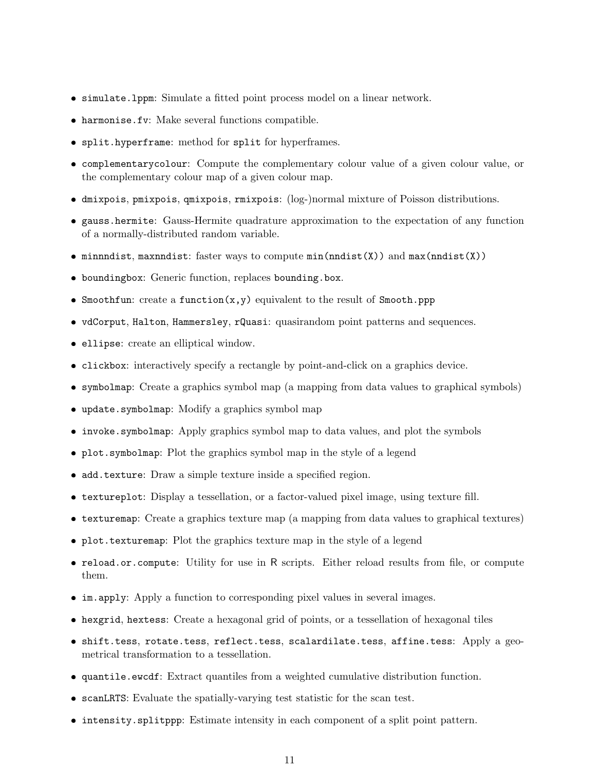- simulate.lppm: Simulate a fitted point process model on a linear network.
- harmonise.fv: Make several functions compatible.
- split.hyperframe: method for split for hyperframes.
- complementarycolour: Compute the complementary colour value of a given colour value, or the complementary colour map of a given colour map.
- dmixpois, pmixpois, qmixpois, rmixpois: (log-)normal mixture of Poisson distributions.
- gauss.hermite: Gauss-Hermite quadrature approximation to the expectation of any function of a normally-distributed random variable.
- minnndist, maxnndist: faster ways to compute min(nndist(X)) and max(nndist(X))
- boundingbox: Generic function, replaces bounding.box.
- Smoothfun: create a function(x,y) equivalent to the result of Smooth.ppp
- vdCorput, Halton, Hammersley, rQuasi: quasirandom point patterns and sequences.
- ellipse: create an elliptical window.
- clickbox: interactively specify a rectangle by point-and-click on a graphics device.
- symbolmap: Create a graphics symbol map (a mapping from data values to graphical symbols)
- update.symbolmap: Modify a graphics symbol map
- invoke.symbolmap: Apply graphics symbol map to data values, and plot the symbols
- plot.symbolmap: Plot the graphics symbol map in the style of a legend
- add.texture: Draw a simple texture inside a specified region.
- textureplot: Display a tessellation, or a factor-valued pixel image, using texture fill.
- texturemap: Create a graphics texture map (a mapping from data values to graphical textures)
- plot.texturemap: Plot the graphics texture map in the style of a legend
- reload.or.compute: Utility for use in R scripts. Either reload results from file, or compute them.
- im.apply: Apply a function to corresponding pixel values in several images.
- hexgrid, hextess: Create a hexagonal grid of points, or a tessellation of hexagonal tiles
- shift.tess, rotate.tess, reflect.tess, scalardilate.tess, affine.tess: Apply a geometrical transformation to a tessellation.
- quantile.ewcdf: Extract quantiles from a weighted cumulative distribution function.
- scanLRTS: Evaluate the spatially-varying test statistic for the scan test.
- intensity.splitppp: Estimate intensity in each component of a split point pattern.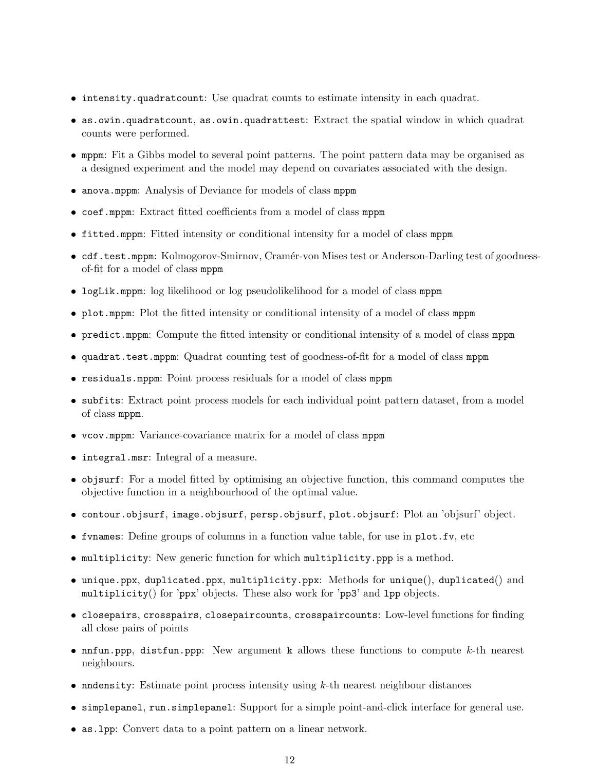- intensity.quadratcount: Use quadrat counts to estimate intensity in each quadrat.
- as.owin.quadratcount, as.owin.quadrattest: Extract the spatial window in which quadrat counts were performed.
- mppm: Fit a Gibbs model to several point patterns. The point pattern data may be organised as a designed experiment and the model may depend on covariates associated with the design.
- anova.mppm: Analysis of Deviance for models of class mppm
- coef.mppm: Extract fitted coefficients from a model of class mppm
- fitted.mppm: Fitted intensity or conditional intensity for a model of class mppm
- cdf.test.mppm: Kolmogorov-Smirnov, Cramér-von Mises test or Anderson-Darling test of goodnessof-fit for a model of class mppm
- logLik.mppm: log likelihood or log pseudolikelihood for a model of class mppm
- plot.mppm: Plot the fitted intensity or conditional intensity of a model of class mppm
- predict.mppm: Compute the fitted intensity or conditional intensity of a model of class mppm
- quadrat.test.mppm: Quadrat counting test of goodness-of-fit for a model of class mppm
- residuals.mppm: Point process residuals for a model of class mppm
- subfits: Extract point process models for each individual point pattern dataset, from a model of class mppm.
- vcov.mppm: Variance-covariance matrix for a model of class mppm
- integral.msr: Integral of a measure.
- objsurf: For a model fitted by optimising an objective function, this command computes the objective function in a neighbourhood of the optimal value.
- contour.objsurf, image.objsurf, persp.objsurf, plot.objsurf: Plot an 'objsurf' object.
- fvnames: Define groups of columns in a function value table, for use in plot.fv, etc
- multiplicity: New generic function for which multiplicity.ppp is a method.
- unique.ppx, duplicated.ppx, multiplicity.ppx: Methods for unique(), duplicated() and multiplicity() for 'ppx' objects. These also work for 'pp3' and lpp objects.
- closepairs, crosspairs, closepaircounts, crosspaircounts: Low-level functions for finding all close pairs of points
- $\bullet$  nnfun.ppp, distfun.ppp: New argument k allows these functions to compute  $k$ -th nearest neighbours.
- $\bullet$  nndensity: Estimate point process intensity using  $k$ -th nearest neighbour distances
- simplepanel, run.simplepanel: Support for a simple point-and-click interface for general use.
- as.lpp: Convert data to a point pattern on a linear network.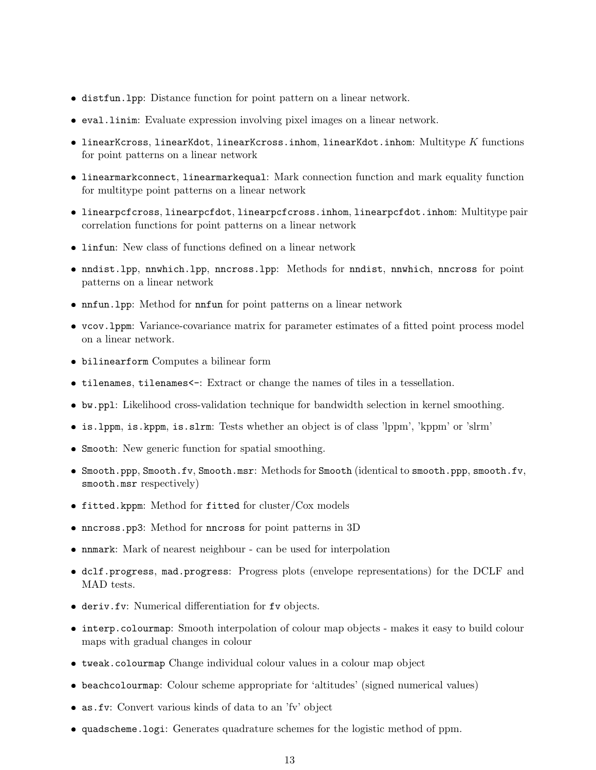- distfun.lpp: Distance function for point pattern on a linear network.
- eval.linim: Evaluate expression involving pixel images on a linear network.
- $\bullet$  linearKcross, linearKdot, linearKcross.inhom, linearKdot.inhom: Multitype  $K$  functions for point patterns on a linear network
- linearmarkconnect, linearmarkequal: Mark connection function and mark equality function for multitype point patterns on a linear network
- linearpcfcross, linearpcfdot, linearpcfcross.inhom, linearpcfdot.inhom: Multitype pair correlation functions for point patterns on a linear network
- linfun: New class of functions defined on a linear network
- nndist.lpp, nnwhich.lpp, nncross.lpp: Methods for nndist, nnwhich, nncross for point patterns on a linear network
- nnfun.lpp: Method for nnfun for point patterns on a linear network
- vcov.lppm: Variance-covariance matrix for parameter estimates of a fitted point process model on a linear network.
- bilinearform Computes a bilinear form
- tilenames, tilenames<-: Extract or change the names of tiles in a tessellation.
- bw.ppl: Likelihood cross-validation technique for bandwidth selection in kernel smoothing.
- is.lppm, is.kppm, is.slrm: Tests whether an object is of class 'lppm', 'kppm' or 'slrm'
- Smooth: New generic function for spatial smoothing.
- Smooth.ppp, Smooth.fv, Smooth.msr: Methods for Smooth (identical to smooth.ppp, smooth.fv, smooth.msr respectively)
- fitted.kppm: Method for fitted for cluster/Cox models
- nncross.pp3: Method for nncross for point patterns in 3D
- nnmark: Mark of nearest neighbour can be used for interpolation
- dclf.progress, mad.progress: Progress plots (envelope representations) for the DCLF and MAD tests.
- deriv.fv: Numerical differentiation for fv objects.
- interp.colourmap: Smooth interpolation of colour map objects makes it easy to build colour maps with gradual changes in colour
- tweak.colourmap Change individual colour values in a colour map object
- beachcolourmap: Colour scheme appropriate for 'altitudes' (signed numerical values)
- as.fv: Convert various kinds of data to an 'fv' object
- quadscheme.logi: Generates quadrature schemes for the logistic method of ppm.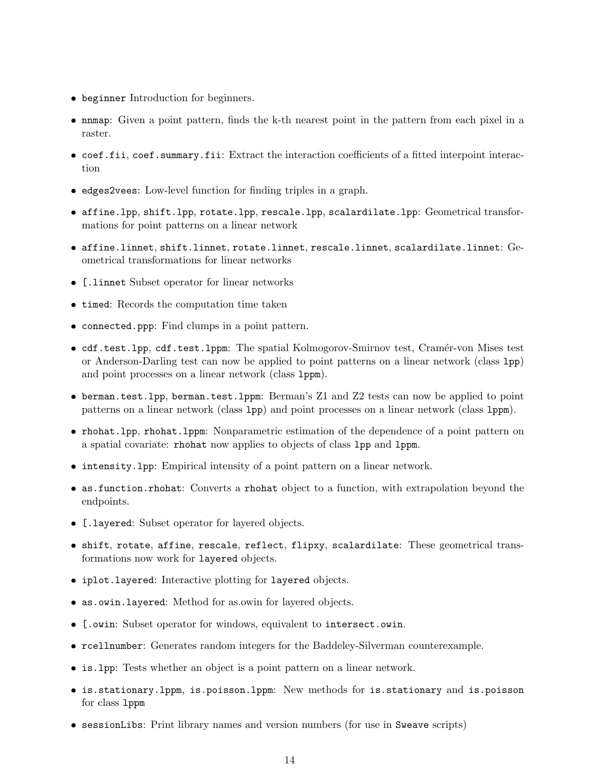- ❼ beginner Introduction for beginners.
- ❼ nnmap: Given a point pattern, finds the k-th nearest point in the pattern from each pixel in a raster.
- coef.fii, coef.summary.fii: Extract the interaction coefficients of a fitted interpoint interaction
- ❼ edges2vees: Low-level function for finding triples in a graph.
- affine.lpp, shift.lpp, rotate.lpp, rescale.lpp, scalardilate.lpp: Geometrical transformations for point patterns on a linear network
- $\bullet$  affine.linnet, shift.linnet, rotate.linnet, rescale.linnet, scalardilate.linnet:  $\rm{Ge-}$ ometrical transformations for linear networks
- ❼ [.linnet Subset operator for linear networks
- timed: Records the computation time taken
- ❼ connected.ppp: Find clumps in a point pattern.
- cdf.test.lpp, cdf.test.lppm: The spatial Kolmogorov-Smirnov test, Cramér-von Mises test or Anderson-Darling test can now be applied to point patterns on a linear network (class lpp) and point processes on a linear network (class lppm).
- ❼ berman.test.lpp, berman.test.lppm: Berman's Z1 and Z2 tests can now be applied to point patterns on a linear network (class lpp) and point processes on a linear network (class lppm).
- ❼ rhohat.lpp, rhohat.lppm: Nonparametric estimation of the dependence of a point pattern on a spatial covariate: rhohat now applies to objects of class lpp and lppm.
- ❼ intensity.lpp: Empirical intensity of a point pattern on a linear network.
- ❼ as.function.rhohat: Converts a rhohat object to a function, with extrapolation beyond the endpoints.
- ❼ [.layered: Subset operator for layered objects.
- shift, rotate, affine, rescale, reflect, flipxy, scalardilate: These geometrical transformations now work for layered objects.
- iplot.layered: Interactive plotting for layered objects.
- ❼ as.owin.layered: Method for as.owin for layered objects.
- ❼ [.owin: Subset operator for windows, equivalent to intersect.owin.
- ❼ rcellnumber: Generates random integers for the Baddeley-Silverman counterexample.
- ❼ is.lpp: Tests whether an object is a point pattern on a linear network.
- ❼ is.stationary.lppm, is.poisson.lppm: New methods for is.stationary and is.poisson for class lppm
- ❼ sessionLibs: Print library names and version numbers (for use in Sweave scripts)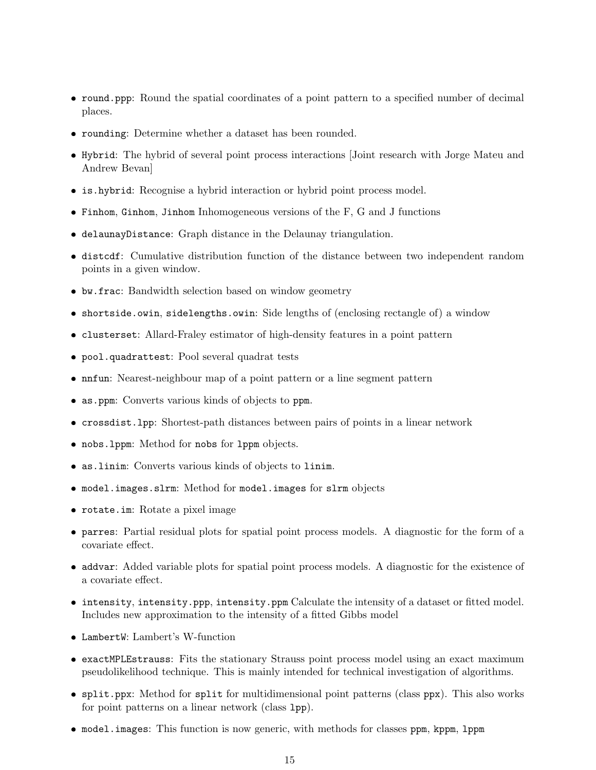- round.ppp: Round the spatial coordinates of a point pattern to a specified number of decimal places.
- rounding: Determine whether a dataset has been rounded.
- Hybrid: The hybrid of several point process interactions [Joint research with Jorge Mateu and Andrew Bevan]
- is.hybrid: Recognise a hybrid interaction or hybrid point process model.
- Finhom, Ginhom, Jinhom Inhomogeneous versions of the F, G and J functions
- delaunayDistance: Graph distance in the Delaunay triangulation.
- distcdf: Cumulative distribution function of the distance between two independent random points in a given window.
- bw.frac: Bandwidth selection based on window geometry
- shortside.owin, sidelengths.owin: Side lengths of (enclosing rectangle of) a window
- clusterset: Allard-Fraley estimator of high-density features in a point pattern
- pool.quadrattest: Pool several quadrat tests
- nnfun: Nearest-neighbour map of a point pattern or a line segment pattern
- as.ppm: Converts various kinds of objects to ppm.
- crossdist.lpp: Shortest-path distances between pairs of points in a linear network
- nobs.lppm: Method for nobs for lppm objects.
- as.linim: Converts various kinds of objects to linim.
- model.images.slrm: Method for model.images for slrm objects
- rotate.im: Rotate a pixel image
- parres: Partial residual plots for spatial point process models. A diagnostic for the form of a covariate effect.
- addvar: Added variable plots for spatial point process models. A diagnostic for the existence of a covariate effect.
- intensity, intensity.ppp, intensity.ppm Calculate the intensity of a dataset or fitted model. Includes new approximation to the intensity of a fitted Gibbs model
- LambertW: Lambert's W-function
- exactMPLEstrauss: Fits the stationary Strauss point process model using an exact maximum pseudolikelihood technique. This is mainly intended for technical investigation of algorithms.
- split.ppx: Method for split for multidimensional point patterns (class ppx). This also works for point patterns on a linear network (class lpp).
- model.images: This function is now generic, with methods for classes ppm, kppm, lppm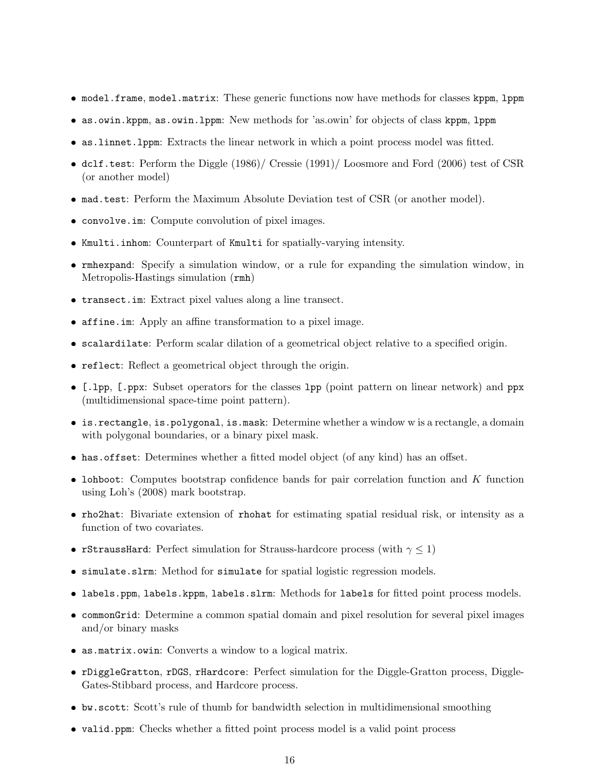- model.frame, model.matrix: These generic functions now have methods for classes kppm, 1ppm
- as.owin.kppm, as.owin.lppm: New methods for 'as.owin' for objects of class kppm, lppm
- as.linnet.lppm: Extracts the linear network in which a point process model was fitted.
- dclf.test: Perform the Diggle (1986)/ Cressie (1991)/ Loosmore and Ford (2006) test of CSR (or another model)
- mad.test: Perform the Maximum Absolute Deviation test of CSR (or another model).
- convolve.im: Compute convolution of pixel images.
- Kmulti.inhom: Counterpart of Kmulti for spatially-varying intensity.
- rmhexpand: Specify a simulation window, or a rule for expanding the simulation window, in Metropolis-Hastings simulation (rmh)
- transect.im: Extract pixel values along a line transect.
- affine.im: Apply an affine transformation to a pixel image.
- scalardilate: Perform scalar dilation of a geometrical object relative to a specified origin.
- reflect: Reflect a geometrical object through the origin.
- [.lpp, [.ppx: Subset operators for the classes lpp (point pattern on linear network) and ppx (multidimensional space-time point pattern).
- is.rectangle, is.polygonal, is.mask: Determine whether a window w is a rectangle, a domain with polygonal boundaries, or a binary pixel mask.
- has.offset: Determines whether a fitted model object (of any kind) has an offset.
- $\bullet$  lohboot: Computes bootstrap confidence bands for pair correlation function and  $K$  function using Loh's (2008) mark bootstrap.
- rho2hat: Bivariate extension of rhohat for estimating spatial residual risk, or intensity as a function of two covariates.
- **rStraussHard:** Perfect simulation for Strauss-hardcore process (with  $\gamma \leq 1$ )
- simulate.slrm: Method for simulate for spatial logistic regression models.
- labels.ppm, labels.kppm, labels.slrm: Methods for labels for fitted point process models.
- commonGrid: Determine a common spatial domain and pixel resolution for several pixel images and/or binary masks
- as.matrix.owin: Converts a window to a logical matrix.
- rDiggleGratton, rDGS, rHardcore: Perfect simulation for the Diggle-Gratton process, Diggle-Gates-Stibbard process, and Hardcore process.
- bw.scott: Scott's rule of thumb for bandwidth selection in multidimensional smoothing
- valid.ppm: Checks whether a fitted point process model is a valid point process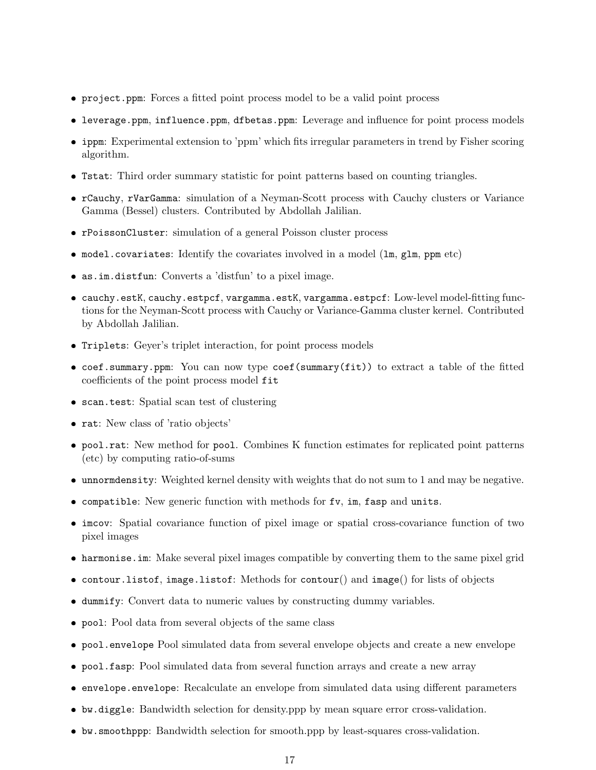- project.ppm: Forces a fitted point process model to be a valid point process
- leverage.ppm, influence.ppm, dfbetas.ppm: Leverage and influence for point process models
- ippm: Experimental extension to 'ppm' which fits irregular parameters in trend by Fisher scoring algorithm.
- Tstat: Third order summary statistic for point patterns based on counting triangles.
- rCauchy, rVarGamma: simulation of a Neyman-Scott process with Cauchy clusters or Variance Gamma (Bessel) clusters. Contributed by Abdollah Jalilian.
- rPoissonCluster: simulation of a general Poisson cluster process
- model.covariates: Identify the covariates involved in a model (lm, glm, ppm etc)
- as.im.distfun: Converts a 'distfun' to a pixel image.
- cauchy.estK, cauchy.estpcf, vargamma.estK, vargamma.estpcf: Low-level model-fitting functions for the Neyman-Scott process with Cauchy or Variance-Gamma cluster kernel. Contributed by Abdollah Jalilian.
- Triplets: Geyer's triplet interaction, for point process models
- coef.summary.ppm: You can now type coef(summary(fit)) to extract a table of the fitted coefficients of the point process model fit
- scan.test: Spatial scan test of clustering
- rat: New class of 'ratio objects'
- pool.rat: New method for pool. Combines K function estimates for replicated point patterns (etc) by computing ratio-of-sums
- unnormdensity: Weighted kernel density with weights that do not sum to 1 and may be negative.
- compatible: New generic function with methods for fv, im, fasp and units.
- imcov: Spatial covariance function of pixel image or spatial cross-covariance function of two pixel images
- harmonise.im: Make several pixel images compatible by converting them to the same pixel grid
- contour.listof, image.listof: Methods for contour() and image() for lists of objects
- dummify: Convert data to numeric values by constructing dummy variables.
- pool: Pool data from several objects of the same class
- pool.envelope Pool simulated data from several envelope objects and create a new envelope
- pool.fasp: Pool simulated data from several function arrays and create a new array
- envelope.envelope: Recalculate an envelope from simulated data using different parameters
- bw.diggle: Bandwidth selection for density.ppp by mean square error cross-validation.
- bw.smoothppp: Bandwidth selection for smooth.ppp by least-squares cross-validation.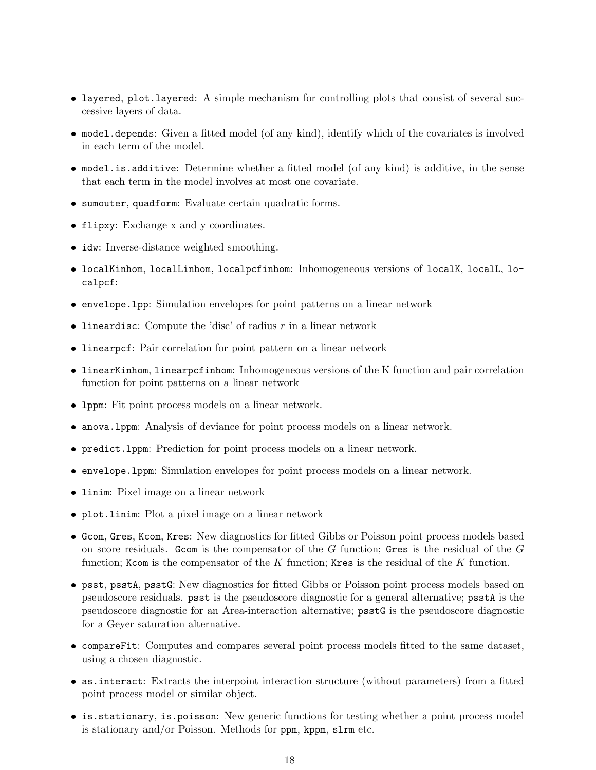- layered, plot.layered: A simple mechanism for controlling plots that consist of several successive layers of data.
- model.depends: Given a fitted model (of any kind), identify which of the covariates is involved in each term of the model.
- model.is.additive: Determine whether a fitted model (of any kind) is additive, in the sense that each term in the model involves at most one covariate.
- sumouter, quadform: Evaluate certain quadratic forms.
- flipxy: Exchange x and y coordinates.
- idw: Inverse-distance weighted smoothing.
- localKinhom, localLinhom, localpcfinhom: Inhomogeneous versions of localK, localL, localpcf:
- envelope.lpp: Simulation envelopes for point patterns on a linear network
- lineardisc: Compute the 'disc' of radius  $r$  in a linear network
- linearpcf: Pair correlation for point pattern on a linear network
- linearKinhom, linearpcfinhom: Inhomogeneous versions of the K function and pair correlation function for point patterns on a linear network
- lppm: Fit point process models on a linear network.
- anova.lppm: Analysis of deviance for point process models on a linear network.
- predict.lppm: Prediction for point process models on a linear network.
- envelope.lppm: Simulation envelopes for point process models on a linear network.
- linim: Pixel image on a linear network
- plot.linim: Plot a pixel image on a linear network
- Gcom, Gres, Kcom, Kres: New diagnostics for fitted Gibbs or Poisson point process models based on score residuals. Grow is the compensator of the  $G$  function; Gres is the residual of the  $G$ function; Kcom is the compensator of the K function; Kres is the residual of the K function.
- psst, psstA, psstG: New diagnostics for fitted Gibbs or Poisson point process models based on pseudoscore residuals. psst is the pseudoscore diagnostic for a general alternative; psstA is the pseudoscore diagnostic for an Area-interaction alternative; psstG is the pseudoscore diagnostic for a Geyer saturation alternative.
- compareFit: Computes and compares several point process models fitted to the same dataset, using a chosen diagnostic.
- as.interact: Extracts the interpoint interaction structure (without parameters) from a fitted point process model or similar object.
- is.stationary, is.poisson: New generic functions for testing whether a point process model is stationary and/or Poisson. Methods for ppm, kppm, slrm etc.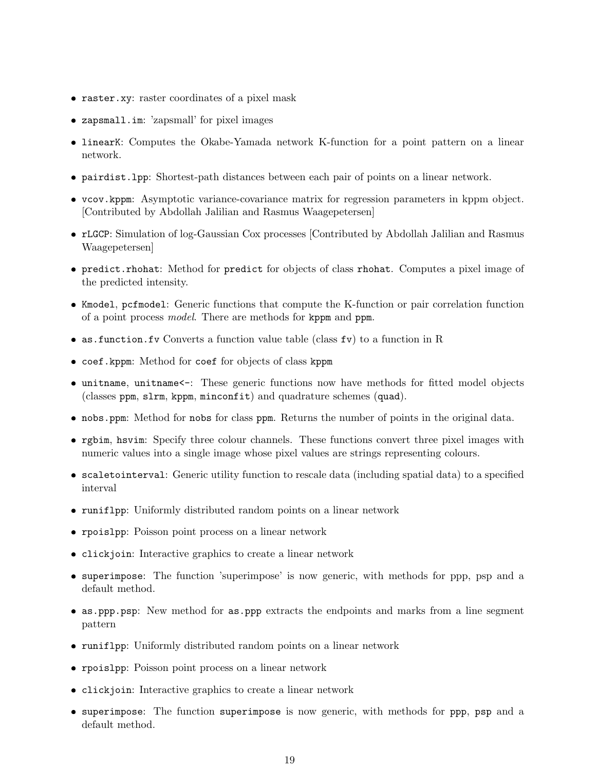- raster.xy: raster coordinates of a pixel mask
- zapsmall.im: 'zapsmall' for pixel images
- linearK: Computes the Okabe-Yamada network K-function for a point pattern on a linear network.
- pairdist.lpp: Shortest-path distances between each pair of points on a linear network.
- vcov.kppm: Asymptotic variance-covariance matrix for regression parameters in kppm object. [Contributed by Abdollah Jalilian and Rasmus Waagepetersen]
- rLGCP: Simulation of log-Gaussian Cox processes [Contributed by Abdollah Jalilian and Rasmus Waagepetersen]
- predict.rhohat: Method for predict for objects of class rhohat. Computes a pixel image of the predicted intensity.
- Kmodel, pcfmodel: Generic functions that compute the K-function or pair correlation function of a point process model. There are methods for kppm and ppm.
- as.function.fv Converts a function value table (class fv) to a function in R
- coef.kppm: Method for coef for objects of class kppm
- unitname, unitname<-: These generic functions now have methods for fitted model objects (classes ppm, slrm, kppm, minconfit) and quadrature schemes (quad).
- nobs.ppm: Method for nobs for class ppm. Returns the number of points in the original data.
- rgbim, hsvim: Specify three colour channels. These functions convert three pixel images with numeric values into a single image whose pixel values are strings representing colours.
- scaletointerval: Generic utility function to rescale data (including spatial data) to a specified interval
- runiflpp: Uniformly distributed random points on a linear network
- rpoislpp: Poisson point process on a linear network
- clickjoin: Interactive graphics to create a linear network
- superimpose: The function 'superimpose' is now generic, with methods for ppp, psp and a default method.
- as.ppp.psp: New method for as.ppp extracts the endpoints and marks from a line segment pattern
- runiflpp: Uniformly distributed random points on a linear network
- rpoislpp: Poisson point process on a linear network
- clickjoin: Interactive graphics to create a linear network
- superimpose: The function superimpose is now generic, with methods for ppp, psp and a default method.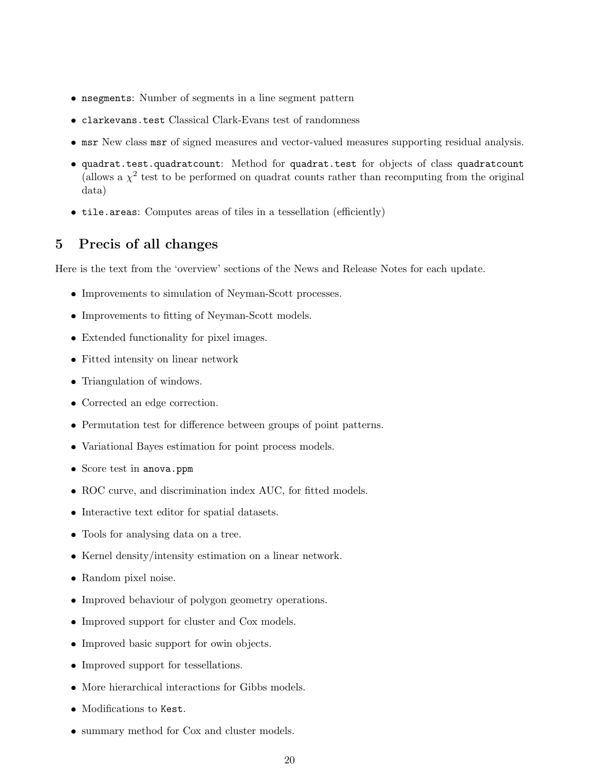- nsegments: Number of segments in a line segment pattern
- clarkevans.test Classical Clark-Evans test of randomness
- msr New class msr of signed measures and vector-valued measures supporting residual analysis.
- quadrat.test.quadratcount: Method for quadrat.test for objects of class quadratcount (allows a  $\chi^2$  test to be performed on quadrat counts rather than recomputing from the original data)
- tile.areas: Computes areas of tiles in a tessellation (efficiently)

# 5 Precis of all changes

Here is the text from the 'overview' sections of the News and Release Notes for each update.

- Improvements to simulation of Neyman-Scott processes.
- Improvements to fitting of Neyman-Scott models.
- Extended functionality for pixel images.
- Fitted intensity on linear network
- Triangulation of windows.
- Corrected an edge correction.
- Permutation test for difference between groups of point patterns.
- Variational Bayes estimation for point process models.
- Score test in anova.ppm
- ROC curve, and discrimination index AUC, for fitted models.
- Interactive text editor for spatial datasets.
- Tools for analysing data on a tree.
- Kernel density/intensity estimation on a linear network.
- Random pixel noise.
- Improved behaviour of polygon geometry operations.
- Improved support for cluster and Cox models.
- Improved basic support for owin objects.
- Improved support for tessellations.
- More hierarchical interactions for Gibbs models.
- Modifications to Kest.
- summary method for Cox and cluster models.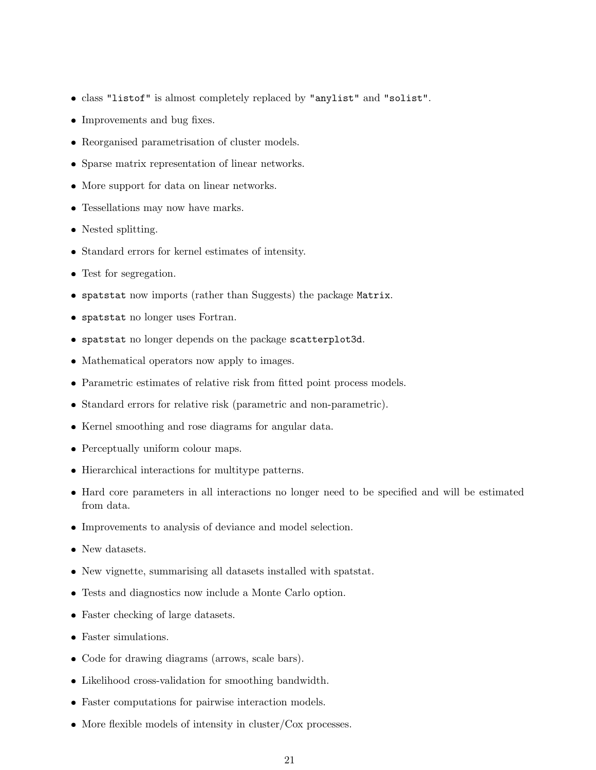- class "listof" is almost completely replaced by "anylist" and "solist".
- Improvements and bug fixes.
- Reorganised parametrisation of cluster models.
- Sparse matrix representation of linear networks.
- More support for data on linear networks.
- Tessellations may now have marks.
- Nested splitting.
- Standard errors for kernel estimates of intensity.
- Test for segregation.
- spatstat now imports (rather than Suggests) the package Matrix.
- spatstat no longer uses Fortran.
- spatstat no longer depends on the package scatterplot3d.
- Mathematical operators now apply to images.
- Parametric estimates of relative risk from fitted point process models.
- Standard errors for relative risk (parametric and non-parametric).
- Kernel smoothing and rose diagrams for angular data.
- Perceptually uniform colour maps.
- Hierarchical interactions for multitype patterns.
- Hard core parameters in all interactions no longer need to be specified and will be estimated from data.
- Improvements to analysis of deviance and model selection.
- New datasets.
- New vignette, summarising all datasets installed with spatstat.
- Tests and diagnostics now include a Monte Carlo option.
- Faster checking of large datasets.
- Faster simulations.
- Code for drawing diagrams (arrows, scale bars).
- Likelihood cross-validation for smoothing bandwidth.
- Faster computations for pairwise interaction models.
- More flexible models of intensity in cluster/Cox processes.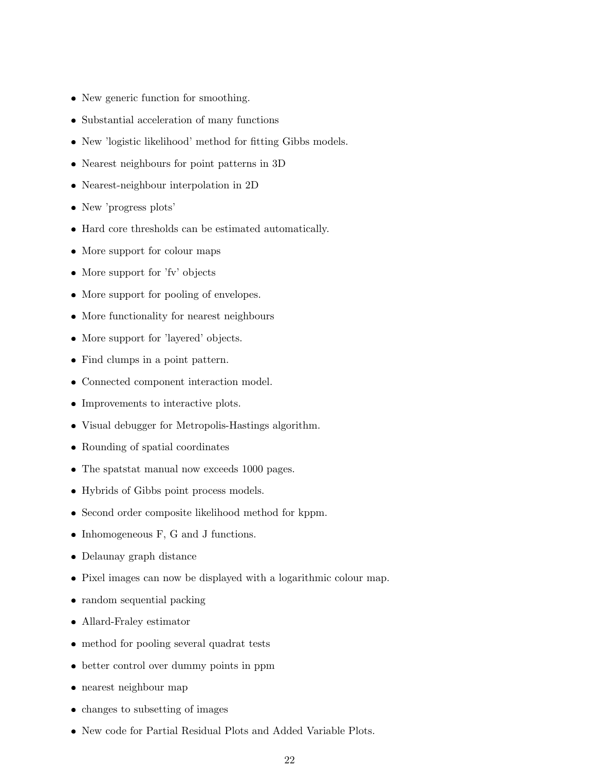- New generic function for smoothing.
- Substantial acceleration of many functions
- New 'logistic likelihood' method for fitting Gibbs models.
- Nearest neighbours for point patterns in 3D
- Nearest-neighbour interpolation in 2D
- New 'progress plots'
- Hard core thresholds can be estimated automatically.
- More support for colour maps
- More support for 'fv' objects
- More support for pooling of envelopes.
- More functionality for nearest neighbours
- More support for 'layered' objects.
- Find clumps in a point pattern.
- Connected component interaction model.
- Improvements to interactive plots.
- Visual debugger for Metropolis-Hastings algorithm.
- Rounding of spatial coordinates
- The spatstat manual now exceeds 1000 pages.
- Hybrids of Gibbs point process models.
- Second order composite likelihood method for kppm.
- Inhomogeneous F, G and J functions.
- Delaunay graph distance
- Pixel images can now be displayed with a logarithmic colour map.
- random sequential packing
- Allard-Fraley estimator
- method for pooling several quadrat tests
- better control over dummy points in ppm
- nearest neighbour map
- changes to subsetting of images
- New code for Partial Residual Plots and Added Variable Plots.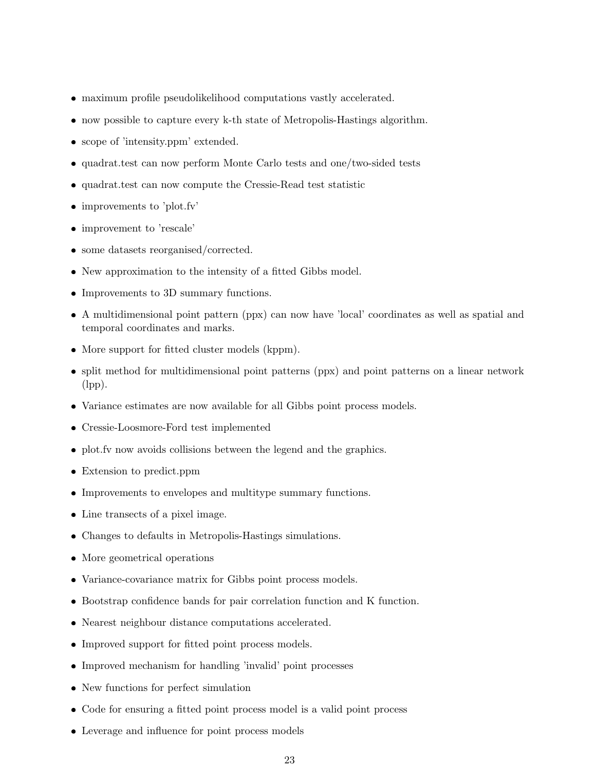- maximum profile pseudolikelihood computations vastly accelerated.
- now possible to capture every k-th state of Metropolis-Hastings algorithm.
- scope of 'intensity.ppm' extended.
- quadrat.test can now perform Monte Carlo tests and one/two-sided tests
- quadrat.test can now compute the Cressie-Read test statistic
- improvements to 'plot.fv'
- improvement to 'rescale'
- some datasets reorganised/corrected.
- New approximation to the intensity of a fitted Gibbs model.
- Improvements to 3D summary functions.
- A multidimensional point pattern (ppx) can now have 'local' coordinates as well as spatial and temporal coordinates and marks.
- More support for fitted cluster models (kppm).
- split method for multidimensional point patterns (ppx) and point patterns on a linear network (lpp).
- Variance estimates are now available for all Gibbs point process models.
- Cressie-Loosmore-Ford test implemented
- plot.fv now avoids collisions between the legend and the graphics.
- Extension to predict.ppm
- Improvements to envelopes and multitype summary functions.
- Line transects of a pixel image.
- Changes to defaults in Metropolis-Hastings simulations.
- More geometrical operations
- Variance-covariance matrix for Gibbs point process models.
- Bootstrap confidence bands for pair correlation function and K function.
- Nearest neighbour distance computations accelerated.
- Improved support for fitted point process models.
- Improved mechanism for handling 'invalid' point processes
- New functions for perfect simulation
- Code for ensuring a fitted point process model is a valid point process
- Leverage and influence for point process models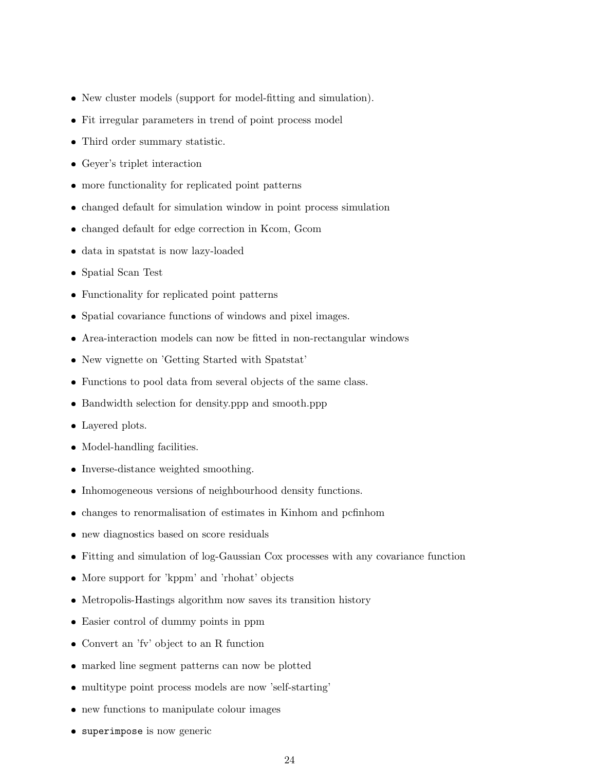- New cluster models (support for model-fitting and simulation).
- Fit irregular parameters in trend of point process model
- Third order summary statistic.
- Geyer's triplet interaction
- more functionality for replicated point patterns
- changed default for simulation window in point process simulation
- changed default for edge correction in Kcom, Gcom
- data in spatstat is now lazy-loaded
- Spatial Scan Test
- Functionality for replicated point patterns
- Spatial covariance functions of windows and pixel images.
- Area-interaction models can now be fitted in non-rectangular windows
- New vignette on 'Getting Started with Spatstat'
- Functions to pool data from several objects of the same class.
- Bandwidth selection for density.ppp and smooth.ppp
- Layered plots.
- Model-handling facilities.
- Inverse-distance weighted smoothing.
- Inhomogeneous versions of neighbourhood density functions.
- changes to renormalisation of estimates in Kinhom and pcfinhom
- new diagnostics based on score residuals
- Fitting and simulation of log-Gaussian Cox processes with any covariance function
- More support for 'kppm' and 'rhohat' objects
- Metropolis-Hastings algorithm now saves its transition history
- Easier control of dummy points in ppm
- Convert an 'fv' object to an R function
- marked line segment patterns can now be plotted
- multitype point process models are now 'self-starting'
- new functions to manipulate colour images
- superimpose is now generic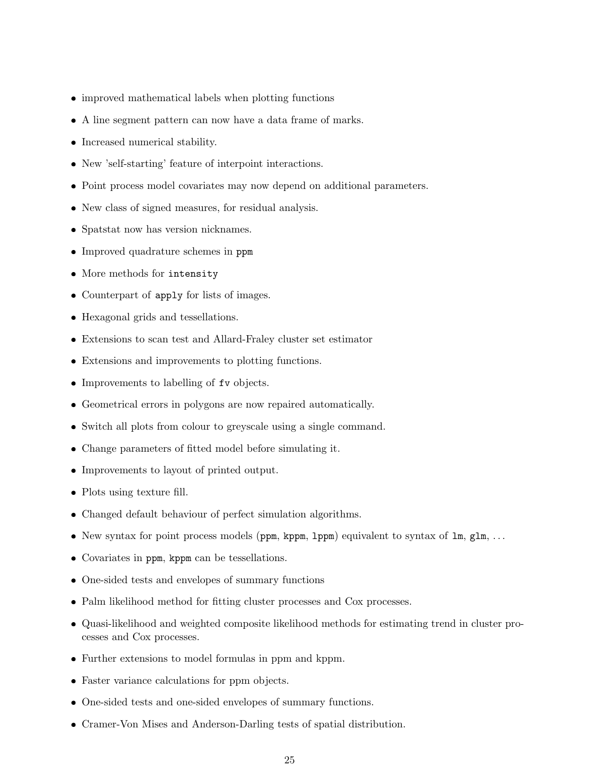- improved mathematical labels when plotting functions
- A line segment pattern can now have a data frame of marks.
- Increased numerical stability.
- New 'self-starting' feature of interpoint interactions.
- Point process model covariates may now depend on additional parameters.
- New class of signed measures, for residual analysis.
- Spatstat now has version nicknames.
- Improved quadrature schemes in ppm
- More methods for intensity
- Counterpart of apply for lists of images.
- Hexagonal grids and tessellations.
- Extensions to scan test and Allard-Fraley cluster set estimator
- Extensions and improvements to plotting functions.
- Improvements to labelling of fv objects.
- Geometrical errors in polygons are now repaired automatically.
- Switch all plots from colour to greyscale using a single command.
- Change parameters of fitted model before simulating it.
- Improvements to layout of printed output.
- Plots using texture fill.
- Changed default behaviour of perfect simulation algorithms.
- New syntax for point process models (ppm, kppm, 1ppm) equivalent to syntax of 1m, g1m, ...
- Covariates in ppm, kppm can be tessellations.
- One-sided tests and envelopes of summary functions
- Palm likelihood method for fitting cluster processes and Cox processes.
- Quasi-likelihood and weighted composite likelihood methods for estimating trend in cluster processes and Cox processes.
- Further extensions to model formulas in ppm and kppm.
- Faster variance calculations for ppm objects.
- One-sided tests and one-sided envelopes of summary functions.
- Cramer-Von Mises and Anderson-Darling tests of spatial distribution.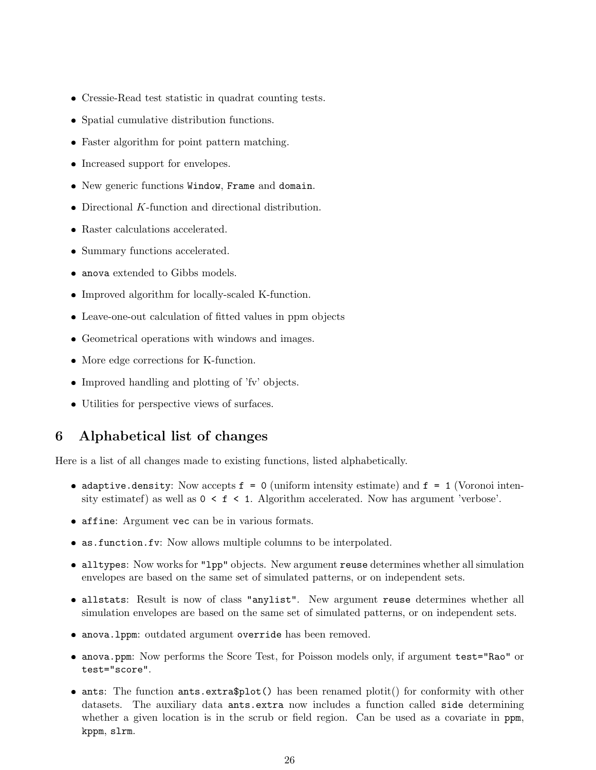- ❼ Cressie-Read test statistic in quadrat counting tests.
- Spatial cumulative distribution functions.
- ❼ Faster algorithm for point pattern matching.
- ❼ Increased support for envelopes.
- ❼ New generic functions Window, Frame and domain.
- $\bullet$  Directional  $K\text{-}\mathrm{function}$  and directional distribution.
- ❼ Raster calculations accelerated.
- ❼ Summary functions accelerated.
- anova extended to Gibbs models.
- ❼ Improved algorithm for locally-scaled K-function.
- ❼ Leave-one-out calculation of fitted values in ppm objects
- ❼ Geometrical operations with windows and images.
- ❼ More edge corrections for K-function.
- ❼ Improved handling and plotting of 'fv' objects.
- ❼ Utilities for perspective views of surfaces.

## 6 Alphabetical list of changes

Here is a list of all changes made to existing functions, listed alphabetically.

- adaptive.density: Now accepts  $f = 0$  (uniform intensity estimate) and  $f = 1$  (Voronoi intensity estimatef) as well as  $0 \leq f \leq 1$ . Algorithm accelerated. Now has argument 'verbose'.
- ❼ affine: Argument vec can be in various formats.
- ❼ as.function.fv: Now allows multiple columns to be interpolated.
- ❼ alltypes: Now works for "lpp" objects. New argument reuse determines whether all simulation envelopes are based on the same set of simulated patterns, or on independent sets.
- allstats: Result is now of class "anylist". New argument reuse determines whether all simulation envelopes are based on the same set of simulated patterns, or on independent sets.
- ❼ anova.lppm: outdated argument override has been removed.
- anova.ppm: Now performs the Score Test, for Poisson models only, if argument test="Rao" or test="score".
- ants: The function ants.extra\$plot() has been renamed plotit() for conformity with other datasets. The auxiliary data ants.extra now includes a function called side determining whether a given location is in the scrub or field region. Can be used as a covariate in ppm, kppm, slrm.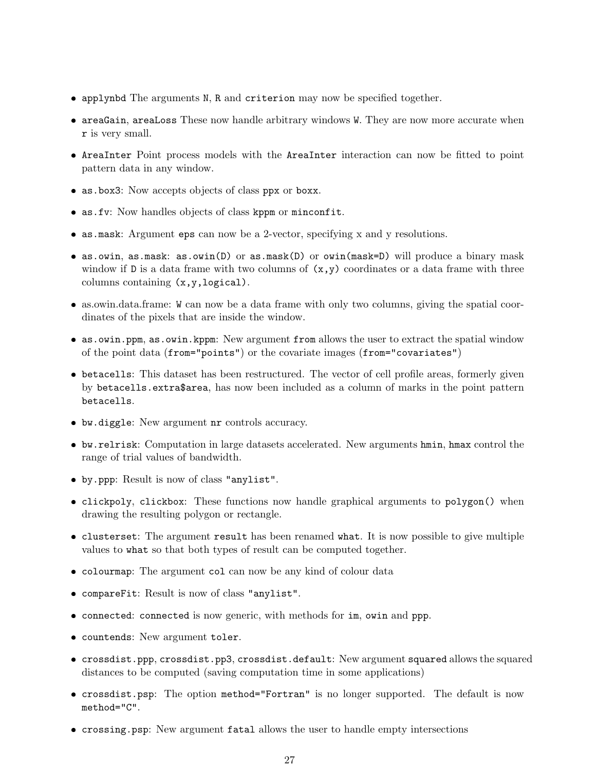- ❼ applynbd The arguments N, R and criterion may now be specified together.
- areaGain, areaLoss These now handle arbitrary windows W. They are now more accurate when r is very small.
- ❼ AreaInter Point process models with the AreaInter interaction can now be fitted to point pattern data in any window.
- ❼ as.box3: Now accepts objects of class ppx or boxx.
- ❼ as.fv: Now handles objects of class kppm or minconfit.
- ❼ as.mask: Argument eps can now be a 2-vector, specifying x and y resolutions.
- ❼ as.owin, as.mask: as.owin(D) or as.mask(D) or owin(mask=D) will produce a binary mask window if D is a data frame with two columns of  $(x,y)$  coordinates or a data frame with three columns containing (x,y,logical).
- ❼ as.owin.data.frame: W can now be a data frame with only two columns, giving the spatial coordinates of the pixels that are inside the window.
- as.owin.ppm, as.owin.kppm: New argument from allows the user to extract the spatial window of the point data (from="points") or the covariate images (from="covariates")
- ❼ betacells: This dataset has been restructured. The vector of cell profile areas, formerly given by betacells.extra\$area, has now been included as a column of marks in the point pattern betacells.
- ❼ bw.diggle: New argument nr controls accuracy.
- ❼ bw.relrisk: Computation in large datasets accelerated. New arguments hmin, hmax control the range of trial values of bandwidth.
- ❼ by.ppp: Result is now of class "anylist".
- ❼ clickpoly, clickbox: These functions now handle graphical arguments to polygon() when drawing the resulting polygon or rectangle.
- ❼ clusterset: The argument result has been renamed what. It is now possible to give multiple values to what so that both types of result can be computed together.
- ❼ colourmap: The argument col can now be any kind of colour data
- ❼ compareFit: Result is now of class "anylist".
- ❼ connected: connected is now generic, with methods for im, owin and ppp.
- ❼ countends: New argument toler.
- ❼ crossdist.ppp, crossdist.pp3, crossdist.default: New argument squared allows the squared distances to be computed (saving computation time in some applications)
- ❼ crossdist.psp: The option method="Fortran" is no longer supported. The default is now method="C".
- ❼ crossing.psp: New argument fatal allows the user to handle empty intersections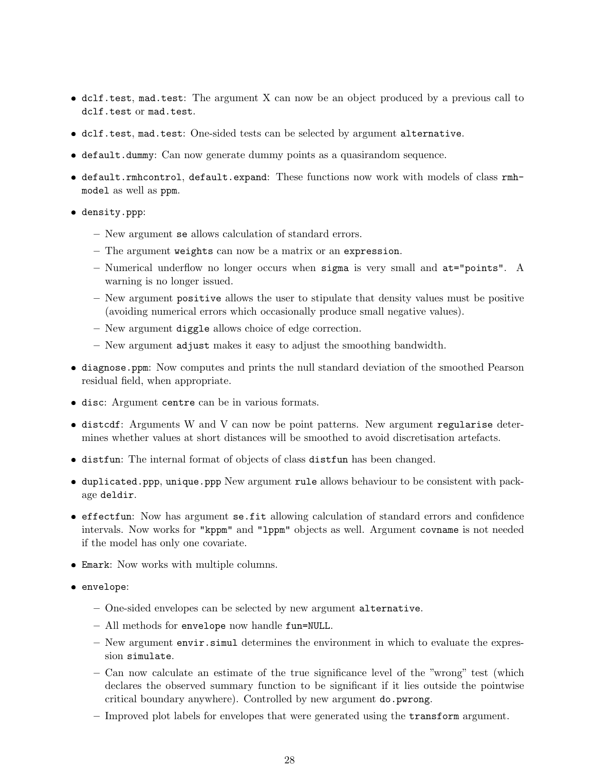- ❼ dclf.test, mad.test: The argument X can now be an object produced by a previous call to dclf.test or mad.test.
- ❼ dclf.test, mad.test: One-sided tests can be selected by argument alternative.
- ❼ default.dummy: Can now generate dummy points as a quasirandom sequence.
- ❼ default.rmhcontrol, default.expand: These functions now work with models of class rmhmodel as well as ppm.
- density.ppp:
	- New argument se allows calculation of standard errors.
	- The argument weights can now be a matrix or an expression.
	- Numerical underflow no longer occurs when sigma is very small and at="points". A warning is no longer issued.
	- New argument positive allows the user to stipulate that density values must be positive (avoiding numerical errors which occasionally produce small negative values).
	- New argument diggle allows choice of edge correction.
	- New argument adjust makes it easy to adjust the smoothing bandwidth.
- ❼ diagnose.ppm: Now computes and prints the null standard deviation of the smoothed Pearson residual field, when appropriate.
- ❼ disc: Argument centre can be in various formats.
- ❼ distcdf: Arguments W and V can now be point patterns. New argument regularise determines whether values at short distances will be smoothed to avoid discretisation artefacts.
- ❼ distfun: The internal format of objects of class distfun has been changed.
- ❼ duplicated.ppp, unique.ppp New argument rule allows behaviour to be consistent with package deldir.
- ❼ effectfun: Now has argument se.fit allowing calculation of standard errors and confidence intervals. Now works for "kppm" and "lppm" objects as well. Argument covname is not needed if the model has only one covariate.
- ❼ Emark: Now works with multiple columns.
- envelope:
	- One-sided envelopes can be selected by new argument alternative.
	- All methods for envelope now handle fun=NULL.
	- New argument envir.simul determines the environment in which to evaluate the expression simulate.
	- Can now calculate an estimate of the true significance level of the "wrong" test (which declares the observed summary function to be significant if it lies outside the pointwise critical boundary anywhere). Controlled by new argument do.pwrong.
	- Improved plot labels for envelopes that were generated using the transform argument.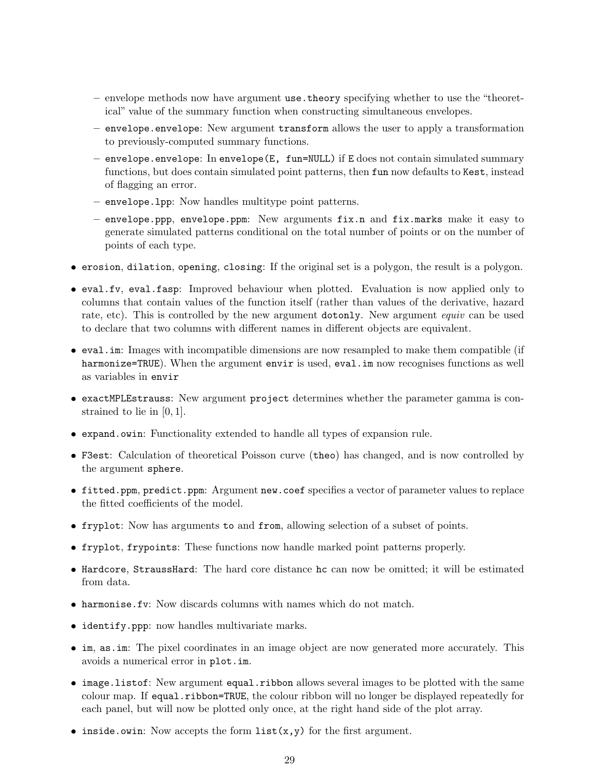- envelope methods now have argument use.theory specifying whether to use the "theoretical" value of the summary function when constructing simultaneous envelopes.
- envelope.envelope: New argument transform allows the user to apply a transformation to previously-computed summary functions.
- envelope.envelope: In envelope(E, fun=NULL) if E does not contain simulated summary functions, but does contain simulated point patterns, then fun now defaults to Kest, instead of flagging an error.
- envelope.lpp: Now handles multitype point patterns.
- envelope.ppp, envelope.ppm: New arguments fix.n and fix.marks make it easy to generate simulated patterns conditional on the total number of points or on the number of points of each type.
- ❼ erosion, dilation, opening, closing: If the original set is a polygon, the result is a polygon.
- ❼ eval.fv, eval.fasp: Improved behaviour when plotted. Evaluation is now applied only to columns that contain values of the function itself (rather than values of the derivative, hazard rate, etc). This is controlled by the new argument dotonly. New argument *equiv* can be used to declare that two columns with different names in different objects are equivalent.
- eval.im: Images with incompatible dimensions are now resampled to make them compatible (if harmonize=TRUE). When the argument envir is used, eval.im now recognises functions as well as variables in envir
- ❼ exactMPLEstrauss: New argument project determines whether the parameter gamma is constrained to lie in [0, 1].
- ❼ expand.owin: Functionality extended to handle all types of expansion rule.
- ❼ F3est: Calculation of theoretical Poisson curve (theo) has changed, and is now controlled by the argument sphere.
- ❼ fitted.ppm, predict.ppm: Argument new.coef specifies a vector of parameter values to replace the fitted coefficients of the model.
- ❼ fryplot: Now has arguments to and from, allowing selection of a subset of points.
- ❼ fryplot, frypoints: These functions now handle marked point patterns properly.
- ❼ Hardcore, StraussHard: The hard core distance hc can now be omitted; it will be estimated from data.
- ❼ harmonise.fv: Now discards columns with names which do not match.
- ❼ identify.ppp: now handles multivariate marks.
- ❼ im, as.im: The pixel coordinates in an image object are now generated more accurately. This avoids a numerical error in plot.im.
- image.listof: New argument equal.ribbon allows several images to be plotted with the same colour map. If equal.ribbon=TRUE, the colour ribbon will no longer be displayed repeatedly for each panel, but will now be plotted only once, at the right hand side of the plot array.
- inside.owin: Now accepts the form  $list(x,y)$  for the first argument.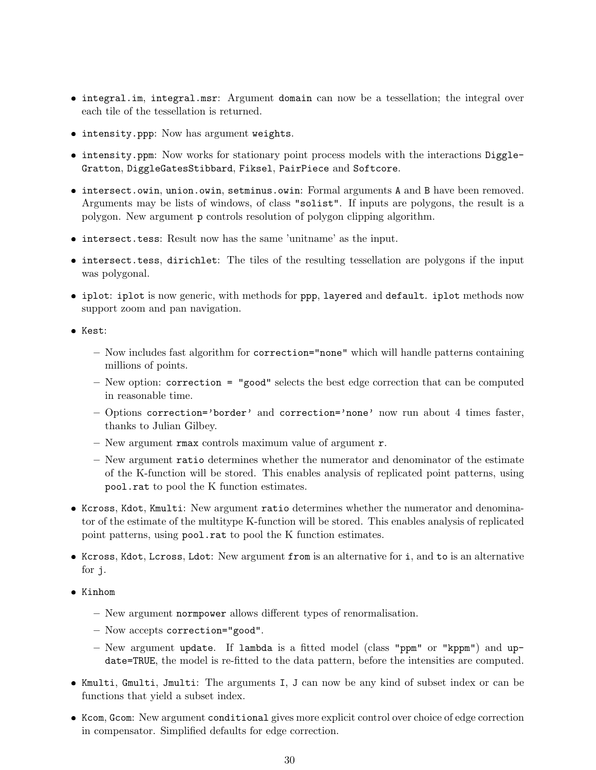- ❼ integral.im, integral.msr: Argument domain can now be a tessellation; the integral over each tile of the tessellation is returned.
- ❼ intensity.ppp: Now has argument weights.
- ❼ intensity.ppm: Now works for stationary point process models with the interactions Diggle-Gratton, DiggleGatesStibbard, Fiksel, PairPiece and Softcore.
- ❼ intersect.owin, union.owin, setminus.owin: Formal arguments A and B have been removed. Arguments may be lists of windows, of class "solist". If inputs are polygons, the result is a polygon. New argument p controls resolution of polygon clipping algorithm.
- ❼ intersect.tess: Result now has the same 'unitname' as the input.
- ❼ intersect.tess, dirichlet: The tiles of the resulting tessellation are polygons if the input was polygonal.
- iplot: iplot is now generic, with methods for ppp, layered and default. iplot methods now support zoom and pan navigation.
- ❼ Kest:
	- Now includes fast algorithm for correction="none" which will handle patterns containing millions of points.
	- $-$  New option: correction = "good" selects the best edge correction that can be computed in reasonable time.
	- Options correction='border' and correction='none' now run about 4 times faster, thanks to Julian Gilbey.
	- New argument rmax controls maximum value of argument r.
	- New argument ratio determines whether the numerator and denominator of the estimate of the K-function will be stored. This enables analysis of replicated point patterns, using pool.rat to pool the K function estimates.
- ❼ Kcross, Kdot, Kmulti: New argument ratio determines whether the numerator and denominator of the estimate of the multitype K-function will be stored. This enables analysis of replicated point patterns, using pool.rat to pool the K function estimates.
- ❼ Kcross, Kdot, Lcross, Ldot: New argument from is an alternative for i, and to is an alternative for j.
- Kinhom
	- New argument normpower allows different types of renormalisation.
	- Now accepts correction="good".
	- New argument update. If lambda is a fitted model (class "ppm" or "kppm") and update=TRUE, the model is re-fitted to the data pattern, before the intensities are computed.
- ❼ Kmulti, Gmulti, Jmulti: The arguments I, J can now be any kind of subset index or can be functions that yield a subset index.
- ❼ Kcom, Gcom: New argument conditional gives more explicit control over choice of edge correction in compensator. Simplified defaults for edge correction.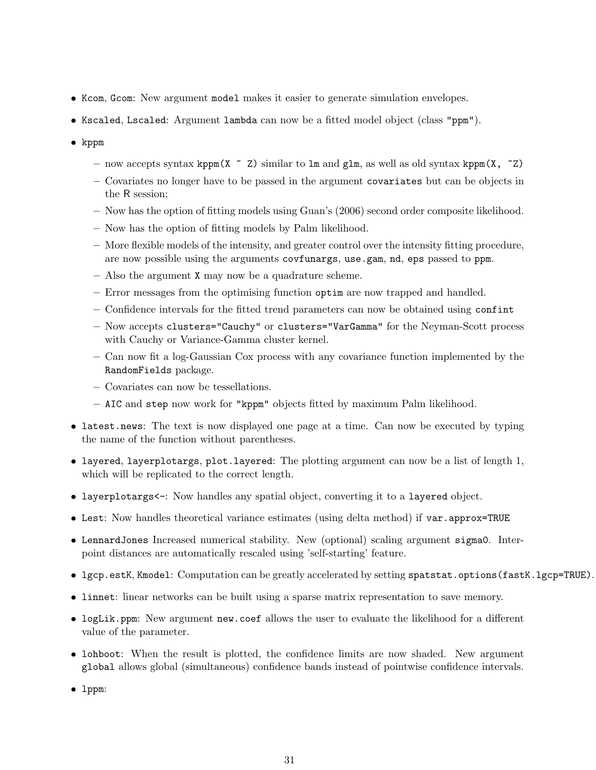- ❼ Kcom, Gcom: New argument model makes it easier to generate simulation envelopes.
- ❼ Kscaled, Lscaled: Argument lambda can now be a fitted model object (class "ppm").
- ❼ kppm
	- now accepts syntax kppm(X  $\sim$  Z) similar to lm and glm, as well as old syntax kppm(X,  $\sim$  Z)
	- Covariates no longer have to be passed in the argument covariates but can be objects in the R session;
	- Now has the option of fitting models using Guan's (2006) second order composite likelihood.
	- Now has the option of fitting models by Palm likelihood.
	- More flexible models of the intensity, and greater control over the intensity fitting procedure, are now possible using the arguments covfunargs, use.gam, nd, eps passed to ppm.
	- Also the argument X may now be a quadrature scheme.
	- Error messages from the optimising function optim are now trapped and handled.
	- Confidence intervals for the fitted trend parameters can now be obtained using confint
	- Now accepts clusters="Cauchy" or clusters="VarGamma" for the Neyman-Scott process with Cauchy or Variance-Gamma cluster kernel.
	- Can now fit a log-Gaussian Cox process with any covariance function implemented by the RandomFields package.
	- Covariates can now be tessellations.
	- AIC and step now work for "kppm" objects fitted by maximum Palm likelihood.
- latest.news: The text is now displayed one page at a time. Can now be executed by typing the name of the function without parentheses.
- ❼ layered, layerplotargs, plot.layered: The plotting argument can now be a list of length 1, which will be replicated to the correct length.
- layerplotargs<-: Now handles any spatial object, converting it to a layered object.
- Lest: Now handles theoretical variance estimates (using delta method) if var.approx=TRUE
- ❼ LennardJones Increased numerical stability. New (optional) scaling argument sigma0. Interpoint distances are automatically rescaled using 'self-starting' feature.
- lgcp.estK, Kmodel: Computation can be greatly accelerated by setting spatstat.options(fastK.lgcp=TRUE).
- ❼ linnet: linear networks can be built using a sparse matrix representation to save memory.
- ❼ logLik.ppm: New argument new.coef allows the user to evaluate the likelihood for a different value of the parameter.
- lohboot: When the result is plotted, the confidence limits are now shaded. New argument global allows global (simultaneous) confidence bands instead of pointwise confidence intervals.
- ❼ lppm: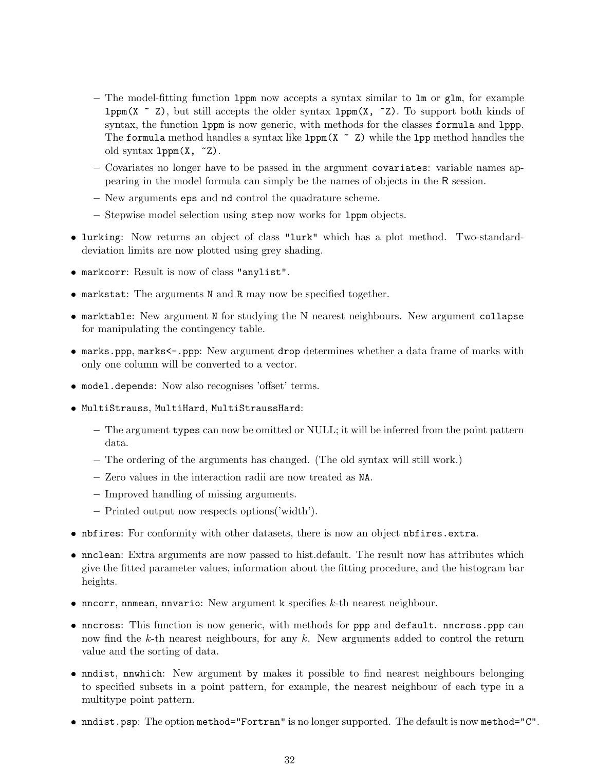- The model-fitting function lppm now accepts a syntax similar to lm or glm, for example  $1ppm(X \sim Z)$ , but still accepts the older syntax  $1ppm(X, Z)$ . To support both kinds of syntax, the function lppm is now generic, with methods for the classes formula and lppp. The formula method handles a syntax like  $1ppm(X \sim Z)$  while the  $1pp$  method handles the old syntax  $lppm(X, z)$ .
- Covariates no longer have to be passed in the argument covariates: variable names appearing in the model formula can simply be the names of objects in the R session.
- New arguments eps and nd control the quadrature scheme.
- Stepwise model selection using step now works for lppm objects.
- ❼ lurking: Now returns an object of class "lurk" which has a plot method. Two-standarddeviation limits are now plotted using grey shading.
- ❼ markcorr: Result is now of class "anylist".
- ❼ markstat: The arguments N and R may now be specified together.
- ❼ marktable: New argument N for studying the N nearest neighbours. New argument collapse for manipulating the contingency table.
- marks.ppp, marks<-.ppp: New argument drop determines whether a data frame of marks with only one column will be converted to a vector.
- ❼ model.depends: Now also recognises 'offset' terms.
- ❼ MultiStrauss, MultiHard, MultiStraussHard:
	- The argument types can now be omitted or NULL; it will be inferred from the point pattern data.
	- The ordering of the arguments has changed. (The old syntax will still work.)
	- Zero values in the interaction radii are now treated as NA.
	- Improved handling of missing arguments.
	- Printed output now respects options('width').
- ❼ nbfires: For conformity with other datasets, there is now an object nbfires.extra.
- ❼ nnclean: Extra arguments are now passed to hist.default. The result now has attributes which give the fitted parameter values, information about the fitting procedure, and the histogram bar heights.
- $\bullet$  nncorr, nnmean, nnvario: New argument k specifies  $k$ -th nearest neighbour.
- ❼ nncross: This function is now generic, with methods for ppp and default. nncross.ppp can now find the k-th nearest neighbours, for any  $k$ . New arguments added to control the return value and the sorting of data.
- ❼ nndist, nnwhich: New argument by makes it possible to find nearest neighbours belonging to specified subsets in a point pattern, for example, the nearest neighbour of each type in a multitype point pattern.
- nndist.psp: The option method="Fortran" is no longer supported. The default is now method="C".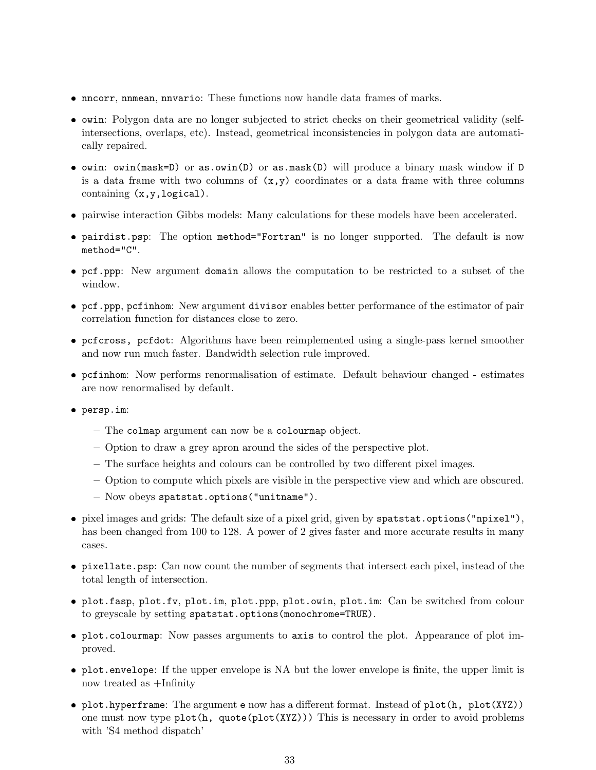- ❼ nncorr, nnmean, nnvario: These functions now handle data frames of marks.
- ❼ owin: Polygon data are no longer subjected to strict checks on their geometrical validity (selfintersections, overlaps, etc). Instead, geometrical inconsistencies in polygon data are automatically repaired.
- ❼ owin: owin(mask=D) or as.owin(D) or as.mask(D) will produce a binary mask window if D is a data frame with two columns of  $(x,y)$  coordinates or a data frame with three columns containing (x,y,logical).
- ❼ pairwise interaction Gibbs models: Many calculations for these models have been accelerated.
- ❼ pairdist.psp: The option method="Fortran" is no longer supported. The default is now method="C".
- ❼ pcf.ppp: New argument domain allows the computation to be restricted to a subset of the window.
- ❼ pcf.ppp, pcfinhom: New argument divisor enables better performance of the estimator of pair correlation function for distances close to zero.
- ❼ pcfcross, pcfdot: Algorithms have been reimplemented using a single-pass kernel smoother and now run much faster. Bandwidth selection rule improved.
- ❼ pcfinhom: Now performs renormalisation of estimate. Default behaviour changed estimates are now renormalised by default.
- persp.im:
	- The colmap argument can now be a colourmap object.
	- Option to draw a grey apron around the sides of the perspective plot.
	- The surface heights and colours can be controlled by two different pixel images.
	- Option to compute which pixels are visible in the perspective view and which are obscured.
	- Now obeys spatstat.options("unitname").
- ❼ pixel images and grids: The default size of a pixel grid, given by spatstat.options("npixel"), has been changed from 100 to 128. A power of 2 gives faster and more accurate results in many cases.
- ❼ pixellate.psp: Can now count the number of segments that intersect each pixel, instead of the total length of intersection.
- ❼ plot.fasp, plot.fv, plot.im, plot.ppp, plot.owin, plot.im: Can be switched from colour to greyscale by setting spatstat.options(monochrome=TRUE).
- ❼ plot.colourmap: Now passes arguments to axis to control the plot. Appearance of plot improved.
- ❼ plot.envelope: If the upper envelope is NA but the lower envelope is finite, the upper limit is now treated as +Infinity
- ❼ plot.hyperframe: The argument e now has a different format. Instead of plot(h, plot(XYZ)) one must now type plot(h, quote(plot(XYZ))) This is necessary in order to avoid problems with 'S4 method dispatch'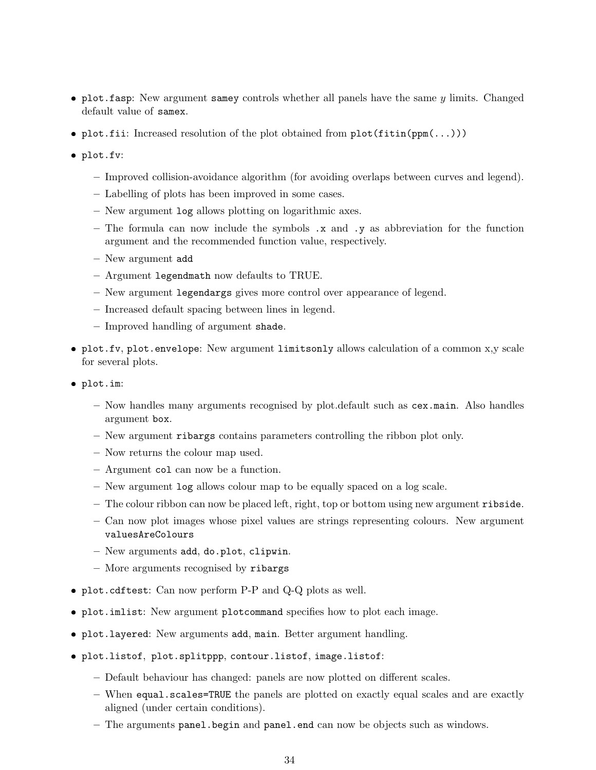- plot.fasp: New argument samey controls whether all panels have the same  $y$  limits. Changed default value of samex.
- plot.fii: Increased resolution of the plot obtained from plot(fitin(ppm(...)))
- plot.fv:
	- Improved collision-avoidance algorithm (for avoiding overlaps between curves and legend).
	- Labelling of plots has been improved in some cases.
	- New argument log allows plotting on logarithmic axes.
	- The formula can now include the symbols .x and .y as abbreviation for the function argument and the recommended function value, respectively.
	- New argument add
	- Argument legendmath now defaults to TRUE.
	- New argument legendargs gives more control over appearance of legend.
	- Increased default spacing between lines in legend.
	- Improved handling of argument shade.
- ❼ plot.fv, plot.envelope: New argument limitsonly allows calculation of a common x,y scale for several plots.
- plot.im:
	- Now handles many arguments recognised by plot.default such as cex.main. Also handles argument box.
	- New argument ribargs contains parameters controlling the ribbon plot only.
	- Now returns the colour map used.
	- Argument col can now be a function.
	- New argument log allows colour map to be equally spaced on a log scale.
	- The colour ribbon can now be placed left, right, top or bottom using new argument ribside.
	- Can now plot images whose pixel values are strings representing colours. New argument valuesAreColours
	- New arguments add, do.plot, clipwin.
	- More arguments recognised by ribargs
- ❼ plot.cdftest: Can now perform P-P and Q-Q plots as well.
- ❼ plot.imlist: New argument plotcommand specifies how to plot each image.
- ❼ plot.layered: New arguments add, main. Better argument handling.
- plot.listof, plot.splitppp, contour.listof, image.listof:
	- Default behaviour has changed: panels are now plotted on different scales.
	- When equal.scales=TRUE the panels are plotted on exactly equal scales and are exactly aligned (under certain conditions).
	- The arguments panel.begin and panel.end can now be objects such as windows.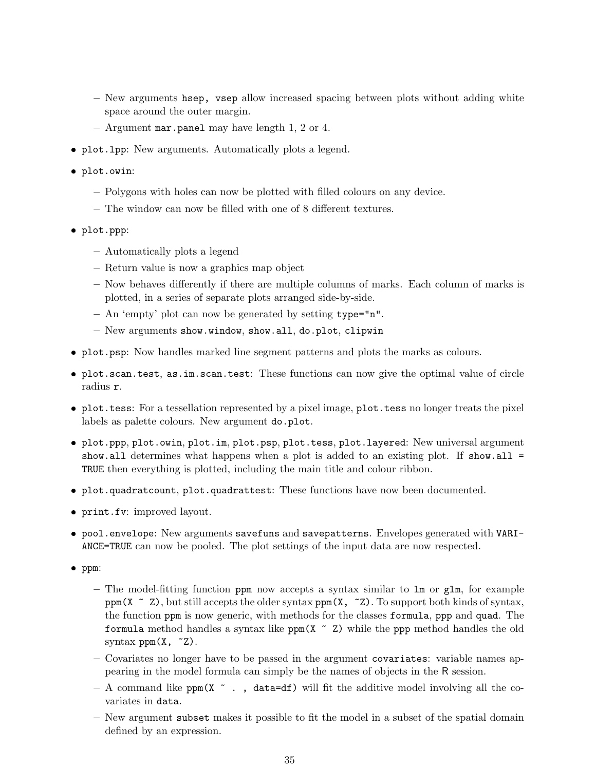- New arguments hsep, vsep allow increased spacing between plots without adding white space around the outer margin.
- Argument mar.panel may have length 1, 2 or 4.
- ❼ plot.lpp: New arguments. Automatically plots a legend.
- plot.owin:
	- Polygons with holes can now be plotted with filled colours on any device.
	- The window can now be filled with one of 8 different textures.
- plot.ppp:
	- Automatically plots a legend
	- Return value is now a graphics map object
	- Now behaves differently if there are multiple columns of marks. Each column of marks is plotted, in a series of separate plots arranged side-by-side.
	- An 'empty' plot can now be generated by setting type="n".
	- New arguments show.window, show.all, do.plot, clipwin
- ❼ plot.psp: Now handles marked line segment patterns and plots the marks as colours.
- ❼ plot.scan.test, as.im.scan.test: These functions can now give the optimal value of circle radius r.
- ❼ plot.tess: For a tessellation represented by a pixel image, plot.tess no longer treats the pixel labels as palette colours. New argument do.plot.
- ❼ plot.ppp, plot.owin, plot.im, plot.psp, plot.tess, plot.layered: New universal argument show.all determines what happens when a plot is added to an existing plot. If show.all  $=$ TRUE then everything is plotted, including the main title and colour ribbon.
- ❼ plot.quadratcount, plot.quadrattest: These functions have now been documented.
- ❼ print.fv: improved layout.
- ❼ pool.envelope: New arguments savefuns and savepatterns. Envelopes generated with VARI-ANCE=TRUE can now be pooled. The plot settings of the input data are now respected.
- ❼ ppm:
	- The model-fitting function ppm now accepts a syntax similar to lm or glm, for example ppm(X  $\sim$  Z), but still accepts the older syntax ppm(X,  $\sim$  Z). To support both kinds of syntax, the function ppm is now generic, with methods for the classes formula, ppp and quad. The formula method handles a syntax like  $ppm(X \sim Z)$  while the ppp method handles the old syntax  $ppm(X, z)$ .
	- Covariates no longer have to be passed in the argument covariates: variable names appearing in the model formula can simply be the names of objects in the R session.
	- A command like ppm( $X \sim$ , data=df) will fit the additive model involving all the covariates in data.
	- New argument subset makes it possible to fit the model in a subset of the spatial domain defined by an expression.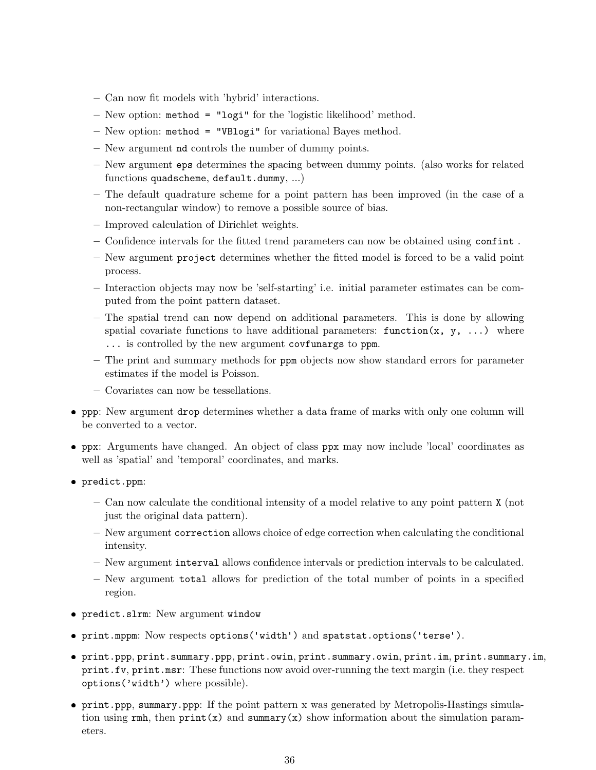- Can now fit models with 'hybrid' interactions.
- New option: method = "logi" for the 'logistic likelihood' method.
- New option: method = "VBlogi" for variational Bayes method.
- New argument nd controls the number of dummy points.
- New argument eps determines the spacing between dummy points. (also works for related functions quadscheme, default.dummy, ...)
- The default quadrature scheme for a point pattern has been improved (in the case of a non-rectangular window) to remove a possible source of bias.
- Improved calculation of Dirichlet weights.
- Confidence intervals for the fitted trend parameters can now be obtained using confint .
- New argument project determines whether the fitted model is forced to be a valid point process.
- Interaction objects may now be 'self-starting' i.e. initial parameter estimates can be computed from the point pattern dataset.
- The spatial trend can now depend on additional parameters. This is done by allowing spatial covariate functions to have additional parameters: function(x, y, ...) where ... is controlled by the new argument covfunargs to ppm.
- The print and summary methods for ppm objects now show standard errors for parameter estimates if the model is Poisson.
- Covariates can now be tessellations.
- ❼ ppp: New argument drop determines whether a data frame of marks with only one column will be converted to a vector.
- ❼ ppx: Arguments have changed. An object of class ppx may now include 'local' coordinates as well as 'spatial' and 'temporal' coordinates, and marks.
- predict.ppm:
	- Can now calculate the conditional intensity of a model relative to any point pattern X (not just the original data pattern).
	- New argument correction allows choice of edge correction when calculating the conditional intensity.
	- New argument interval allows confidence intervals or prediction intervals to be calculated.
	- New argument total allows for prediction of the total number of points in a specified region.
- predict.slrm: New argument window
- ↓ prodiscoreinm: 1000 digdinant window<br>● print.mppm: Now respects options('width') and spatstat.options('terse').
- ❼ print.ppp, print.summary.ppp, print.owin, print.summary.owin, print.im, print.summary.im, print.fv, print.msr: These functions now avoid over-running the text margin (i.e. they respect options('width') where possible).
- ❼ print.ppp, summary.ppp: If the point pattern x was generated by Metropolis-Hastings simulation using  $rmh$ , then  $print(x)$  and summary $(x)$  show information about the simulation parameters.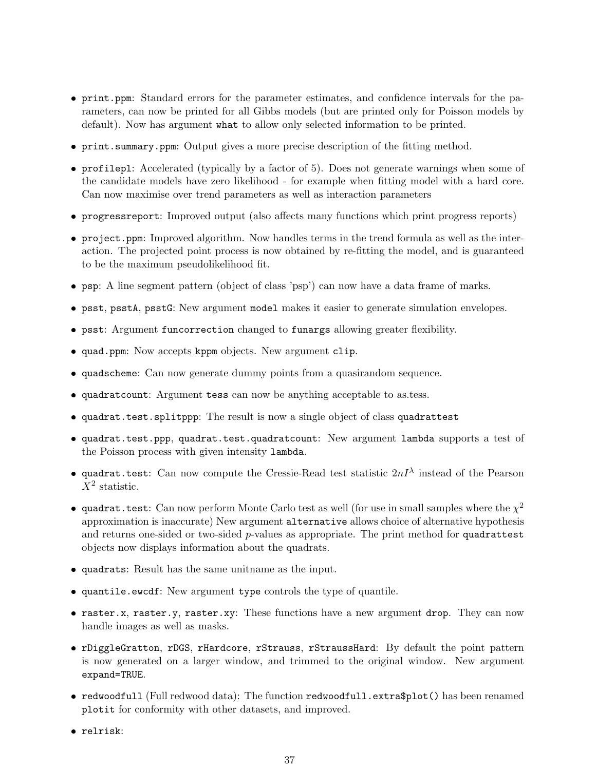- ❼ print.ppm: Standard errors for the parameter estimates, and confidence intervals for the parameters, can now be printed for all Gibbs models (but are printed only for Poisson models by default). Now has argument what to allow only selected information to be printed.
- ❼ print.summary.ppm: Output gives a more precise description of the fitting method.
- ❼ profilepl: Accelerated (typically by a factor of 5). Does not generate warnings when some of the candidate models have zero likelihood - for example when fitting model with a hard core. Can now maximise over trend parameters as well as interaction parameters
- ❼ progressreport: Improved output (also affects many functions which print progress reports)
- ❼ project.ppm: Improved algorithm. Now handles terms in the trend formula as well as the interaction. The projected point process is now obtained by re-fitting the model, and is guaranteed to be the maximum pseudolikelihood fit.
- ❼ psp: A line segment pattern (object of class 'psp') can now have a data frame of marks.
- ❼ psst, psstA, psstG: New argument model makes it easier to generate simulation envelopes.
- ❼ psst: Argument funcorrection changed to funargs allowing greater flexibility.
- ❼ quad.ppm: Now accepts kppm objects. New argument clip.
- ❼ quadscheme: Can now generate dummy points from a quasirandom sequence.
- ❼ quadratcount: Argument tess can now be anything acceptable to as.tess.
- ❼ quadrat.test.splitppp: The result is now a single object of class quadrattest
- ❼ quadrat.test.ppp, quadrat.test.quadratcount: New argument lambda supports a test of the Poisson process with given intensity lambda.
- quadrat.test: Can now compute the Cressie-Read test statistic  $2nI^{\lambda}$  instead of the Pearson  $\overline{X}^2$  statistic.
- quadrat.test: Can now perform Monte Carlo test as well (for use in small samples where the  $\chi^2$ approximation is inaccurate) New argument alternative allows choice of alternative hypothesis and returns one-sided or two-sided  $p$ -values as appropriate. The print method for quadrattest objects now displays information about the quadrats.
- ❼ quadrats: Result has the same unitname as the input.
- ❼ quantile.ewcdf: New argument type controls the type of quantile.
- raster.x, raster.y, raster.xy: These functions have a new argument drop. They can now handle images as well as masks.
- ❼ rDiggleGratton, rDGS, rHardcore, rStrauss, rStraussHard: By default the point pattern is now generated on a larger window, and trimmed to the original window. New argument expand=TRUE.
- redwoodfull (Full redwood data): The function redwoodfull.extra\$plot() has been renamed plotit for conformity with other datasets, and improved.
- ❼ relrisk: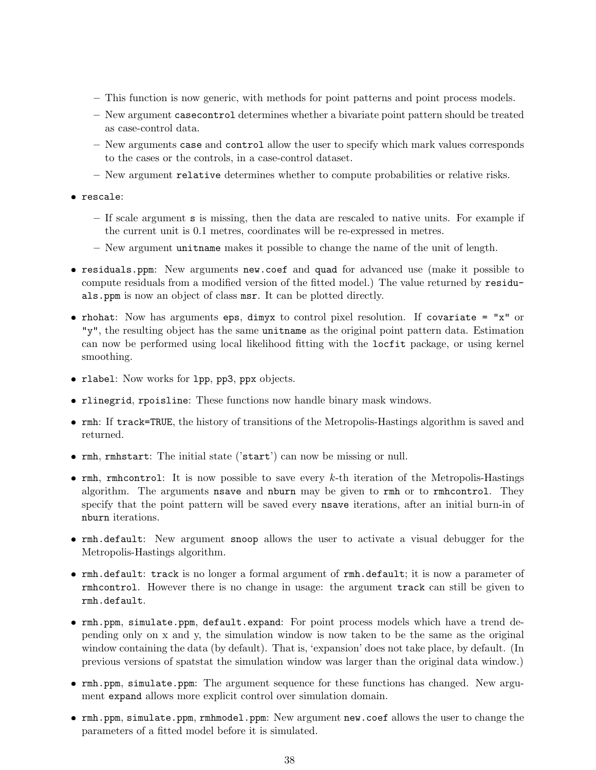- This function is now generic, with methods for point patterns and point process models.
- New argument casecontrol determines whether a bivariate point pattern should be treated as case-control data.
- New arguments case and control allow the user to specify which mark values corresponds to the cases or the controls, in a case-control dataset.
- New argument relative determines whether to compute probabilities or relative risks.
- rescale:
	- If scale argument s is missing, then the data are rescaled to native units. For example if the current unit is 0.1 metres, coordinates will be re-expressed in metres.
	- New argument unitname makes it possible to change the name of the unit of length.
- ❼ residuals.ppm: New arguments new.coef and quad for advanced use (make it possible to compute residuals from a modified version of the fitted model.) The value returned by residuals.ppm is now an object of class msr. It can be plotted directly.
- ❼ rhohat: Now has arguments eps, dimyx to control pixel resolution. If covariate = "x" or "y", the resulting object has the same unitname as the original point pattern data. Estimation can now be performed using local likelihood fitting with the locfit package, or using kernel smoothing.
- ❼ rlabel: Now works for lpp, pp3, ppx objects.
- ❼ rlinegrid, rpoisline: These functions now handle binary mask windows.
- ❼ rmh: If track=TRUE, the history of transitions of the Metropolis-Hastings algorithm is saved and returned.
- ❼ rmh, rmhstart: The initial state ('start') can now be missing or null.
- $\bullet$  rmh, rmhcontrol: It is now possible to save every  $k$ -th iteration of the Metropolis-Hastings algorithm. The arguments nsave and nburn may be given to rmh or to rmhcontrol. They specify that the point pattern will be saved every nsave iterations, after an initial burn-in of nburn iterations.
- ❼ rmh.default: New argument snoop allows the user to activate a visual debugger for the Metropolis-Hastings algorithm.
- ❼ rmh.default: track is no longer a formal argument of rmh.default; it is now a parameter of rmhcontrol. However there is no change in usage: the argument track can still be given to rmh.default.
- ❼ rmh.ppm, simulate.ppm, default.expand: For point process models which have a trend depending only on x and y, the simulation window is now taken to be the same as the original window containing the data (by default). That is, 'expansion' does not take place, by default. (In previous versions of spatstat the simulation window was larger than the original data window.)
- ❼ rmh.ppm, simulate.ppm: The argument sequence for these functions has changed. New argument expand allows more explicit control over simulation domain.
- ❼ rmh.ppm, simulate.ppm, rmhmodel.ppm: New argument new.coef allows the user to change the parameters of a fitted model before it is simulated.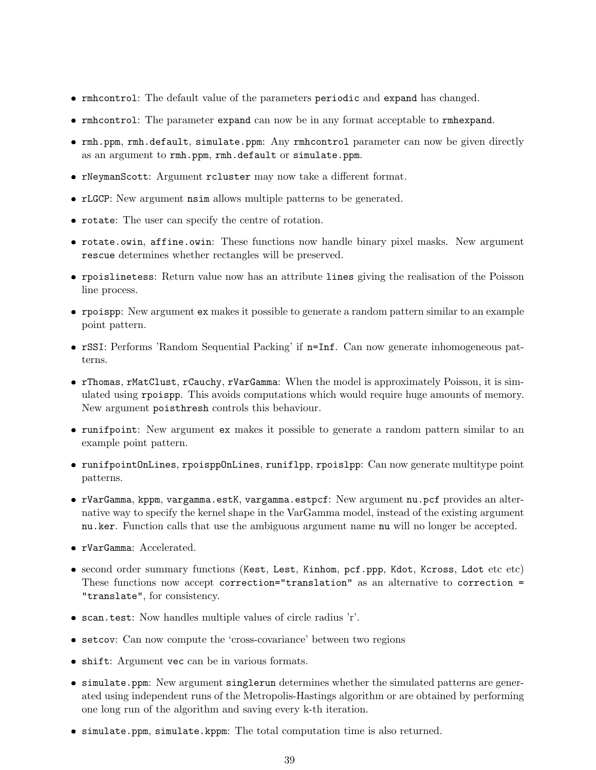- ❼ rmhcontrol: The default value of the parameters periodic and expand has changed.
- ❼ rmhcontrol: The parameter expand can now be in any format acceptable to rmhexpand.
- ❼ rmh.ppm, rmh.default, simulate.ppm: Any rmhcontrol parameter can now be given directly as an argument to rmh.ppm, rmh.default or simulate.ppm.
- ❼ rNeymanScott: Argument rcluster may now take a different format.
- ❼ rLGCP: New argument nsim allows multiple patterns to be generated.
- ❼ rotate: The user can specify the centre of rotation.
- ❼ rotate.owin, affine.owin: These functions now handle binary pixel masks. New argument rescue determines whether rectangles will be preserved.
- ❼ rpoislinetess: Return value now has an attribute lines giving the realisation of the Poisson line process.
- ❼ rpoispp: New argument ex makes it possible to generate a random pattern similar to an example point pattern.
- ❼ rSSI: Performs 'Random Sequential Packing' if n=Inf. Can now generate inhomogeneous patterns.
- ❼ rThomas, rMatClust, rCauchy, rVarGamma: When the model is approximately Poisson, it is simulated using rpoispp. This avoids computations which would require huge amounts of memory. New argument poisthresh controls this behaviour.
- ❼ runifpoint: New argument ex makes it possible to generate a random pattern similar to an example point pattern.
- ❼ runifpointOnLines, rpoisppOnLines, runiflpp, rpoislpp: Can now generate multitype point patterns.
- ❼ rVarGamma, kppm, vargamma.estK, vargamma.estpcf: New argument nu.pcf provides an alternative way to specify the kernel shape in the VarGamma model, instead of the existing argument nu.ker. Function calls that use the ambiguous argument name nu will no longer be accepted.
- ❼ rVarGamma: Accelerated.
- ❼ second order summary functions (Kest, Lest, Kinhom, pcf.ppp, Kdot, Kcross, Ldot etc etc) These functions now accept correction="translation" as an alternative to correction = "translate", for consistency.
- ❼ scan.test: Now handles multiple values of circle radius 'r'.
- ❼ setcov: Can now compute the 'cross-covariance' between two regions
- ❼ shift: Argument vec can be in various formats.
- ❼ simulate.ppm: New argument singlerun determines whether the simulated patterns are generated using independent runs of the Metropolis-Hastings algorithm or are obtained by performing one long run of the algorithm and saving every k-th iteration.
- ❼ simulate.ppm, simulate.kppm: The total computation time is also returned.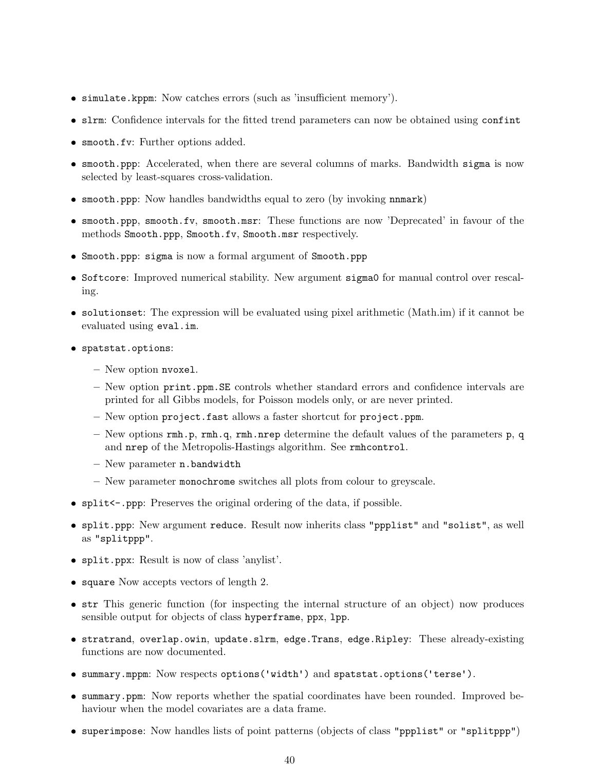- ❼ simulate.kppm: Now catches errors (such as 'insufficient memory').
- ❼ slrm: Confidence intervals for the fitted trend parameters can now be obtained using confint
- ❼ smooth.fv: Further options added.
- ❼ smooth.ppp: Accelerated, when there are several columns of marks. Bandwidth sigma is now selected by least-squares cross-validation.
- smooth.ppp: Now handles bandwidths equal to zero (by invoking nnmark)
- ❼ smooth.ppp, smooth.fv, smooth.msr: These functions are now 'Deprecated' in favour of the methods Smooth.ppp, Smooth.fv, Smooth.msr respectively.
- ❼ Smooth.ppp: sigma is now a formal argument of Smooth.ppp
- ❼ Softcore: Improved numerical stability. New argument sigma0 for manual control over rescaling.
- ❼ solutionset: The expression will be evaluated using pixel arithmetic (Math.im) if it cannot be evaluated using eval.im.
- spatstat.options:
	- New option nvoxel.
	- New option print.ppm.SE controls whether standard errors and confidence intervals are printed for all Gibbs models, for Poisson models only, or are never printed.
	- New option project.fast allows a faster shortcut for project.ppm.
	- New options  $rm.p, rm. q, rm. nrep determine the default values of the parameters p, q$ and nrep of the Metropolis-Hastings algorithm. See rmhcontrol.
	- New parameter n.bandwidth
	- New parameter monochrome switches all plots from colour to greyscale.
- split<-.ppp: Preserves the original ordering of the data, if possible.
- ❼ split.ppp: New argument reduce. Result now inherits class "ppplist" and "solist", as well as "splitppp".
- ❼ split.ppx: Result is now of class 'anylist'.
- square Now accepts vectors of length 2.
- str This generic function (for inspecting the internal structure of an object) now produces sensible output for objects of class hyperframe, ppx, lpp.
- ❼ stratrand, overlap.owin, update.slrm, edge.Trans, edge.Ripley: These already-existing functions are now documented.
- summary.mppm: Now respects options('width') and spatstat.options('terse').
- ❼ summary.ppm: Now reports whether the spatial coordinates have been rounded. Improved behaviour when the model covariates are a data frame.
- ❼ superimpose: Now handles lists of point patterns (objects of class "ppplist" or "splitppp")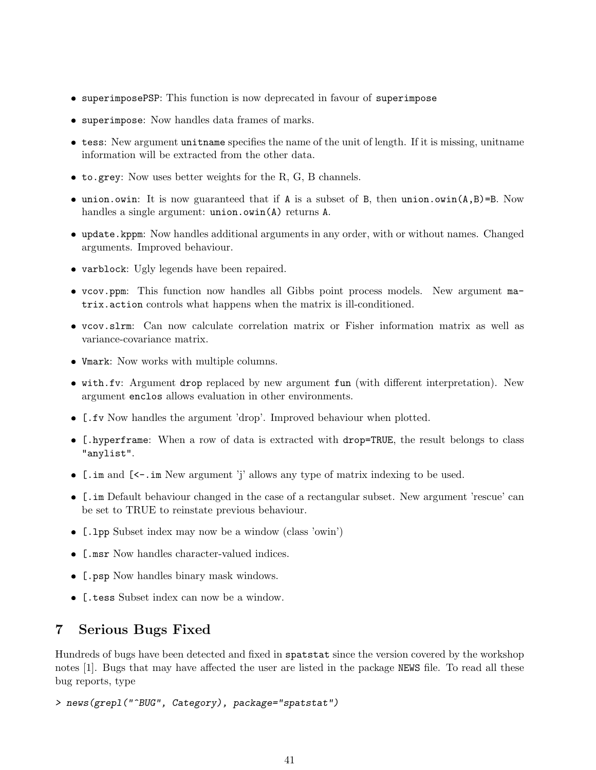- superimposePSP: This function is now deprecated in favour of superimpose
- superimpose: Now handles data frames of marks.
- tess: New argument unitname specifies the name of the unit of length. If it is missing, unitname information will be extracted from the other data.
- to.grey: Now uses better weights for the R, G, B channels.
- union.owin: It is now guaranteed that if A is a subset of B, then union.owin(A,B)=B. Now handles a single argument: union.owin(A) returns A.
- update.kppm: Now handles additional arguments in any order, with or without names. Changed arguments. Improved behaviour.
- varblock: Ugly legends have been repaired.
- vcov.ppm: This function now handles all Gibbs point process models. New argument matrix.action controls what happens when the matrix is ill-conditioned.
- vcov.slrm: Can now calculate correlation matrix or Fisher information matrix as well as variance-covariance matrix.
- Vmark: Now works with multiple columns.
- with.fv: Argument drop replaced by new argument fun (with different interpretation). New argument enclos allows evaluation in other environments.
- [.fv Now handles the argument 'drop'. Improved behaviour when plotted.
- [.hyperframe: When a row of data is extracted with drop=TRUE, the result belongs to class "anylist".
- [.im and [<-.im New argument 'j' allows any type of matrix indexing to be used.
- [.im Default behaviour changed in the case of a rectangular subset. New argument 'rescue' can be set to TRUE to reinstate previous behaviour.
- [.lpp Subset index may now be a window (class 'owin')
- [.msr Now handles character-valued indices.
- [.psp Now handles binary mask windows.
- [.tess Subset index can now be a window.

## 7 Serious Bugs Fixed

Hundreds of bugs have been detected and fixed in spatstat since the version covered by the workshop notes [1]. Bugs that may have affected the user are listed in the package NEWS file. To read all these bug reports, type

```
> news(grepl("^BUG", Category), package="spatstat")
```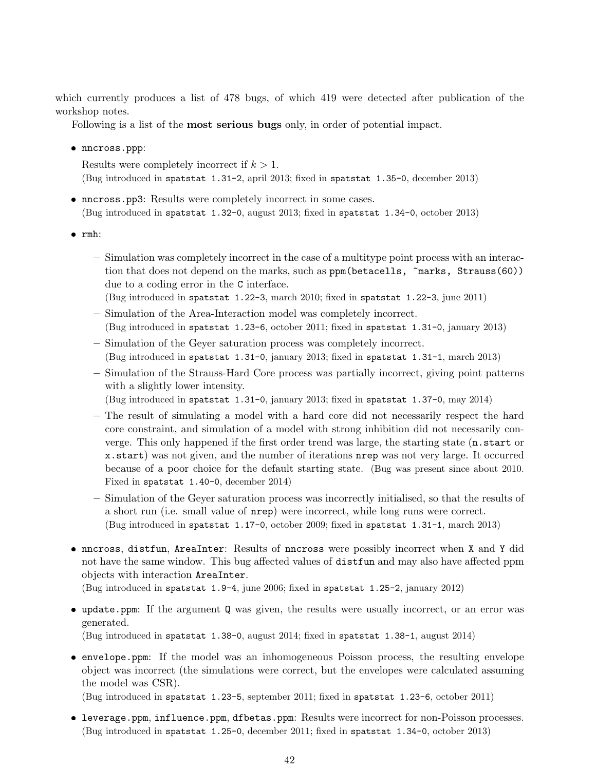which currently produces a list of 478 bugs, of which 419 were detected after publication of the workshop notes.

Following is a list of the most serious bugs only, in order of potential impact.

● nncross.ppp:

Results were completely incorrect if  $k > 1$ . (Bug introduced in spatstat 1.31-2, april 2013; fixed in spatstat 1.35-0, december 2013)

- ❼ nncross.pp3: Results were completely incorrect in some cases. (Bug introduced in spatstat 1.32-0, august 2013; fixed in spatstat 1.34-0, october 2013)
- ❼ rmh:
	- Simulation was completely incorrect in the case of a multitype point process with an interaction that does not depend on the marks, such as ppm(betacells,  $\text{marks}$ , Strauss(60)) due to a coding error in the C interface.

(Bug introduced in spatstat 1.22-3, march 2010; fixed in spatstat 1.22-3, june 2011)

- Simulation of the Area-Interaction model was completely incorrect. (Bug introduced in spatstat 1.23-6, october 2011; fixed in spatstat 1.31-0, january 2013)
- Simulation of the Geyer saturation process was completely incorrect. (Bug introduced in spatstat 1.31-0, january 2013; fixed in spatstat 1.31-1, march 2013)
- Simulation of the Strauss-Hard Core process was partially incorrect, giving point patterns with a slightly lower intensity.
	- (Bug introduced in spatstat 1.31-0, january 2013; fixed in spatstat 1.37-0, may 2014)
- The result of simulating a model with a hard core did not necessarily respect the hard core constraint, and simulation of a model with strong inhibition did not necessarily converge. This only happened if the first order trend was large, the starting state (n.start or x.start) was not given, and the number of iterations nrep was not very large. It occurred because of a poor choice for the default starting state. (Bug was present since about 2010. Fixed in spatstat 1.40-0, december 2014)
- Simulation of the Geyer saturation process was incorrectly initialised, so that the results of a short run (i.e. small value of nrep) were incorrect, while long runs were correct. (Bug introduced in spatstat 1.17-0, october 2009; fixed in spatstat 1.31-1, march 2013)
- ❼ nncross, distfun, AreaInter: Results of nncross were possibly incorrect when X and Y did not have the same window. This bug affected values of distfun and may also have affected ppm objects with interaction AreaInter.

(Bug introduced in spatstat 1.9-4, june 2006; fixed in spatstat 1.25-2, january 2012)

❼ update.ppm: If the argument Q was given, the results were usually incorrect, or an error was generated.

(Bug introduced in spatstat 1.38-0, august 2014; fixed in spatstat 1.38-1, august 2014)

❼ envelope.ppm: If the model was an inhomogeneous Poisson process, the resulting envelope object was incorrect (the simulations were correct, but the envelopes were calculated assuming the model was CSR).

(Bug introduced in spatstat 1.23-5, september 2011; fixed in spatstat 1.23-6, october 2011)

❼ leverage.ppm, influence.ppm, dfbetas.ppm: Results were incorrect for non-Poisson processes. (Bug introduced in spatstat 1.25-0, december 2011; fixed in spatstat 1.34-0, october 2013)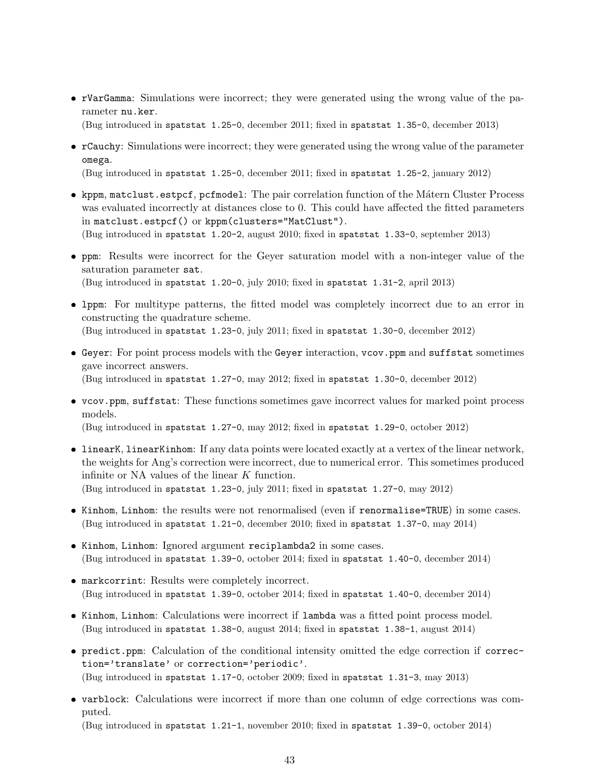❼ rVarGamma: Simulations were incorrect; they were generated using the wrong value of the parameter nu.ker.

(Bug introduced in spatstat 1.25-0, december 2011; fixed in spatstat 1.35-0, december 2013)

❼ rCauchy: Simulations were incorrect; they were generated using the wrong value of the parameter omega.

(Bug introduced in spatstat 1.25-0, december 2011; fixed in spatstat 1.25-2, january 2012)

- kppm, matclust.estpcf, pcfmodel: The pair correlation function of the Mátern Cluster Process was evaluated incorrectly at distances close to 0. This could have affected the fitted parameters in matclust.estpcf() or kppm(clusters="MatClust"). (Bug introduced in spatstat 1.20-2, august 2010; fixed in spatstat 1.33-0, september 2013)
- ❼ ppm: Results were incorrect for the Geyer saturation model with a non-integer value of the saturation parameter sat. (Bug introduced in spatstat 1.20-0, july 2010; fixed in spatstat 1.31-2, april 2013)
- ❼ lppm: For multitype patterns, the fitted model was completely incorrect due to an error in constructing the quadrature scheme. (Bug introduced in spatstat 1.23-0, july 2011; fixed in spatstat 1.30-0, december 2012)
- ❼ Geyer: For point process models with the Geyer interaction, vcov.ppm and suffstat sometimes gave incorrect answers. (Bug introduced in spatstat 1.27-0, may 2012; fixed in spatstat 1.30-0, december 2012)
- ❼ vcov.ppm, suffstat: These functions sometimes gave incorrect values for marked point process models.

(Bug introduced in spatstat 1.27-0, may 2012; fixed in spatstat 1.29-0, october 2012)

- ❼ linearK, linearKinhom: If any data points were located exactly at a vertex of the linear network, the weights for Ang's correction were incorrect, due to numerical error. This sometimes produced infinite or NA values of the linear K function. (Bug introduced in spatstat 1.23-0, july 2011; fixed in spatstat 1.27-0, may 2012)
- ❼ Kinhom, Linhom: the results were not renormalised (even if renormalise=TRUE) in some cases. (Bug introduced in spatstat 1.21-0, december 2010; fixed in spatstat 1.37-0, may 2014)
- ❼ Kinhom, Linhom: Ignored argument reciplambda2 in some cases. (Bug introduced in spatstat 1.39-0, october 2014; fixed in spatstat 1.40-0, december 2014)
- ❼ markcorrint: Results were completely incorrect. (Bug introduced in spatstat 1.39-0, october 2014; fixed in spatstat 1.40-0, december 2014)
- ❼ Kinhom, Linhom: Calculations were incorrect if lambda was a fitted point process model. (Bug introduced in spatstat 1.38-0, august 2014; fixed in spatstat 1.38-1, august 2014)
- ❼ predict.ppm: Calculation of the conditional intensity omitted the edge correction if correction='translate' or correction='periodic'. (Bug introduced in spatstat 1.17-0, october 2009; fixed in spatstat 1.31-3, may 2013)
- ❼ varblock: Calculations were incorrect if more than one column of edge corrections was computed.

(Bug introduced in spatstat 1.21-1, november 2010; fixed in spatstat 1.39-0, october 2014)